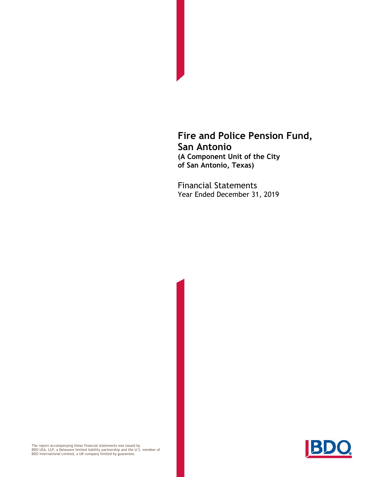**(A Component Unit of the City of San Antonio, Texas)** 

Financial Statements Year Ended December 31, 2019



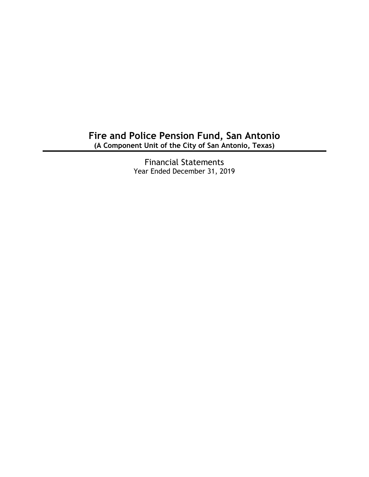**(A Component Unit of the City of San Antonio, Texas)** 

Financial Statements Year Ended December 31, 2019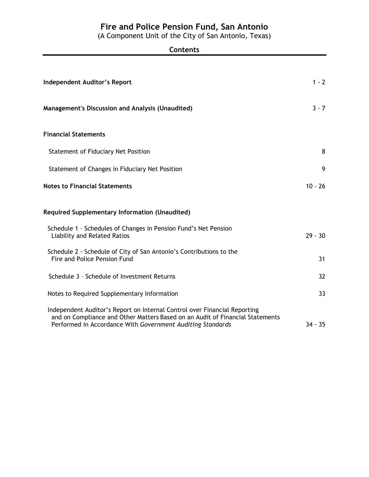(A Component Unit of the City of San Antonio, Texas)

| <b>Contents</b> |
|-----------------|
|-----------------|

| <b>Independent Auditor's Report</b>                                                                                                                                                                                      | $1 - 2$   |
|--------------------------------------------------------------------------------------------------------------------------------------------------------------------------------------------------------------------------|-----------|
| Management's Discussion and Analysis (Unaudited)                                                                                                                                                                         | $3 - 7$   |
| <b>Financial Statements</b>                                                                                                                                                                                              |           |
| <b>Statement of Fiduciary Net Position</b>                                                                                                                                                                               | 8         |
| Statement of Changes in Fiduciary Net Position                                                                                                                                                                           | 9         |
| <b>Notes to Financial Statements</b>                                                                                                                                                                                     | $10 - 26$ |
| <b>Required Supplementary Information (Unaudited)</b>                                                                                                                                                                    |           |
| Schedule 1 - Schedules of Changes in Pension Fund's Net Pension<br><b>Liability and Related Ratios</b>                                                                                                                   | $29 - 30$ |
| Schedule 2 - Schedule of City of San Antonio's Contributions to the<br>Fire and Police Pension Fund                                                                                                                      | 31        |
| Schedule 3 - Schedule of Investment Returns                                                                                                                                                                              | 32        |
| Notes to Required Supplementary Information                                                                                                                                                                              | 33        |
| Independent Auditor's Report on Internal Control over Financial Reporting<br>and on Compliance and Other Matters Based on an Audit of Financial Statements<br>Performed in Accordance With Government Auditing Standards | $34 - 35$ |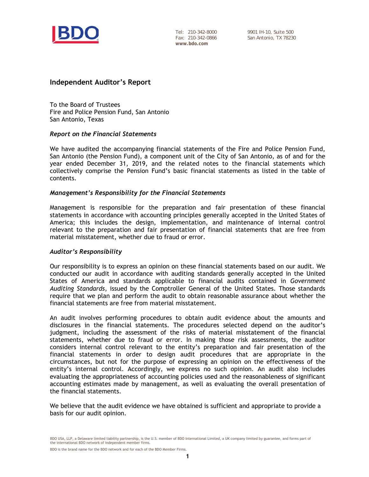

Tel: 210-342-8000 Fax: 210-342-0866 **www.bdo.com** 

9901 IH-10, Suite 500 San Antonio, TX 78230

### **Independent Auditor's Report**

 To the Board of Trustees Fire and Police Pension Fund, San Antonio San Antonio, Texas

#### *Report on the Financial Statements*

We have audited the accompanying financial statements of the Fire and Police Pension Fund, San Antonio (the Pension Fund), a component unit of the City of San Antonio, as of and for the year ended December 31, 2019, and the related notes to the financial statements which collectively comprise the Pension Fund's basic financial statements as listed in the table of contents.

#### *Management's Responsibility for the Financial Statements*

Management is responsible for the preparation and fair presentation of these financial statements in accordance with accounting principles generally accepted in the United States of America; this includes the design, implementation, and maintenance of internal control relevant to the preparation and fair presentation of financial statements that are free from material misstatement, whether due to fraud or error.

### *Auditor's Responsibility*

Our responsibility is to express an opinion on these financial statements based on our audit. We conducted our audit in accordance with auditing standards generally accepted in the United States of America and standards applicable to financial audits contained in *Government Auditing Standards*, issued by the Comptroller General of the United States. Those standards require that we plan and perform the audit to obtain reasonable assurance about whether the financial statements are free from material misstatement.

An audit involves performing procedures to obtain audit evidence about the amounts and disclosures in the financial statements. The procedures selected depend on the auditor's judgment, including the assessment of the risks of material misstatement of the financial statements, whether due to fraud or error. In making those risk assessments, the auditor considers internal control relevant to the entity's preparation and fair presentation of the financial statements in order to design audit procedures that are appropriate in the circumstances, but not for the purpose of expressing an opinion on the effectiveness of the entity's internal control. Accordingly, we express no such opinion. An audit also includes evaluating the appropriateness of accounting policies used and the reasonableness of significant accounting estimates made by management, as well as evaluating the overall presentation of the financial statements.

We believe that the audit evidence we have obtained is sufficient and appropriate to provide a basis for our audit opinion.

BDO USA, LLP, a Delaware limited liability partnership, is the U.S. member of BDO International Limited, a UK company limited by guarantee, and forms part of the international BDO network of independent member firms.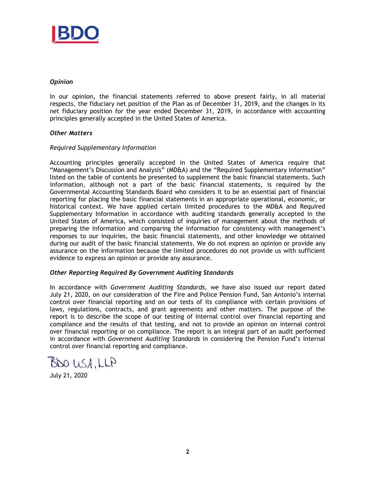

### *Opinion*

In our opinion, the financial statements referred to above present fairly, in all material respects, the fiduciary net position of the Plan as of December 31, 2019, and the changes in its net fiduciary position for the year ended December 31, 2019, in accordance with accounting principles generally accepted in the United States of America.

#### *Other Matters*

#### *Required Supplementary Information*

Accounting principles generally accepted in the United States of America require that "Management's Discussion and Analysis" (MD&A) and the "Required Supplementary Information" listed on the table of contents be presented to supplement the basic financial statements. Such information, although not a part of the basic financial statements, is required by the Governmental Accounting Standards Board who considers it to be an essential part of financial reporting for placing the basic financial statements in an appropriate operational, economic, or historical context. We have applied certain limited procedures to the MD&A and Required Supplementary Information in accordance with auditing standards generally accepted in the United States of America, which consisted of inquiries of management about the methods of preparing the information and comparing the information for consistency with management's responses to our inquiries, the basic financial statements, and other knowledge we obtained during our audit of the basic financial statements. We do not express an opinion or provide any assurance on the information because the limited procedures do not provide us with sufficient evidence to express an opinion or provide any assurance.

### *Other Reporting Required By Government Auditing Standards*

In accordance with *Government Auditing Standards*, we have also issued our report dated July 21, 2020, on our consideration of the Fire and Police Pension Fund, San Antonio's internal control over financial reporting and on our tests of its compliance with certain provisions of laws, regulations, contracts, and grant agreements and other matters. The purpose of the report is to describe the scope of our testing of internal control over financial reporting and compliance and the results of that testing, and not to provide an opinion on internal control over financial reporting or on compliance. The report is an integral part of an audit performed in accordance with *Government Auditing Standards* in considering the Pension Fund's internal control over financial reporting and compliance.

BDO USA, LLP

July 21, 2020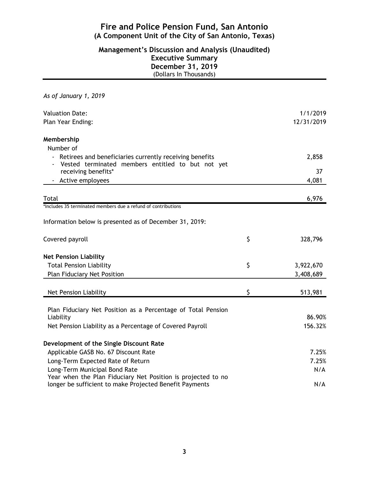### **Management's Discussion and Analysis (Unaudited) Executive Summary December 31, 2019**  (Dollars In Thousands)

### *As of January 1, 2019*

| <b>Valuation Date:</b>                                                                                                  | 1/1/2019        |
|-------------------------------------------------------------------------------------------------------------------------|-----------------|
| Plan Year Ending:                                                                                                       | 12/31/2019      |
| Membership                                                                                                              |                 |
| Number of                                                                                                               |                 |
| Retirees and beneficiaries currently receiving benefits<br>Vested terminated members entitled to but not yet            | 2,858<br>37     |
| receiving benefits*                                                                                                     |                 |
| Active employees                                                                                                        | 4,081           |
| <b>Total</b>                                                                                                            | 6,976           |
| *Includes 35 terminated members due a refund of contributions                                                           |                 |
| Information below is presented as of December 31, 2019:                                                                 |                 |
| Covered payroll                                                                                                         | \$<br>328,796   |
| <b>Net Pension Liability</b>                                                                                            |                 |
| <b>Total Pension Liability</b>                                                                                          | \$<br>3,922,670 |
| <b>Plan Fiduciary Net Position</b>                                                                                      | 3,408,689       |
| Net Pension Liability                                                                                                   | \$<br>513,981   |
|                                                                                                                         |                 |
| Plan Fiduciary Net Position as a Percentage of Total Pension                                                            |                 |
| Liability                                                                                                               | 86.90%          |
| Net Pension Liability as a Percentage of Covered Payroll                                                                | 156.32%         |
| Development of the Single Discount Rate                                                                                 |                 |
| Applicable GASB No. 67 Discount Rate                                                                                    | 7.25%           |
| Long-Term Expected Rate of Return                                                                                       | 7.25%           |
| Long-Term Municipal Bond Rate                                                                                           | N/A             |
| Year when the Plan Fiduciary Net Position is projected to no<br>longer be sufficient to make Projected Benefit Payments | N/A             |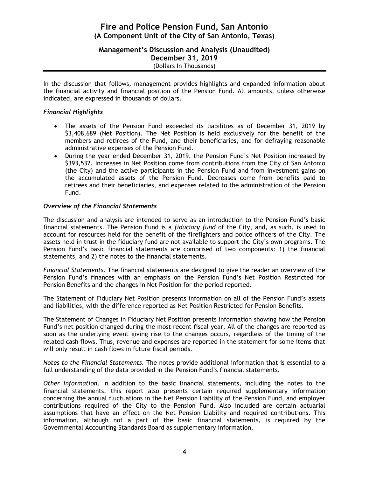**Management's Discussion and Analysis (Unaudited) December 31, 2019**  (Dollars In Thousands)

In the discussion that follows, management provides highlights and expanded information about the financial activity and financial position of the Pension Fund. All amounts, unless otherwise indicated, are expressed in thousands of dollars.

### *Financial Highlights*

- The assets of the Pension Fund exceeded its liabilities as of December 31, 2019 by \$3,408,689 (Net Position). The Net Position is held exclusively for the benefit of the members and retirees of the Fund, and their beneficiaries, and for defraying reasonable administrative expenses of the Pension Fund.
- During the year ended December 31, 2019, the Pension Fund's Net Position increased by \$393,532. Increases in Net Position come from contributions from the City of San Antonio (the City) and the active participants in the Pension Fund and from investment gains on the accumulated assets of the Pension Fund. Decreases come from benefits paid to retirees and their beneficiaries, and expenses related to the administration of the Pension Fund.

### *Overview of the Financial Statements*

The discussion and analysis are intended to serve as an introduction to the Pension Fund's basic financial statements. The Pension Fund is a *fiduciary fund* of the City, and, as such, is used to account for resources held for the benefit of the firefighters and police officers of the City. The assets held in trust in the fiduciary fund are not available to support the City's own programs. The Pension Fund's basic financial statements are comprised of two components: 1) the financial statements, and 2) the notes to the financial statements.

*Financial Statements.* The financial statements are designed to give the reader an overview of the Pension Fund's finances with an emphasis on the Pension Fund's Net Position Restricted for Pension Benefits and the changes in Net Position for the period reported.

The Statement of Fiduciary Net Position presents information on all of the Pension Fund's assets and liabilities, with the difference reported as Net Position Restricted for Pension Benefits.

The Statement of Changes in Fiduciary Net Position presents information showing how the Pension Fund's net position changed during the most recent fiscal year. All of the changes are reported as soon as the underlying event giving rise to the changes occurs, regardless of the timing of the related cash flows. Thus, revenue and expenses are reported in the statement for some items that will only result in cash flows in future fiscal periods.

*Notes to the Financial Statements.* The notes provide additional information that is essential to a full understanding of the data provided in the Pension Fund's financial statements.

*Other Information.* In addition to the basic financial statements, including the notes to the financial statements, this report also presents certain required supplementary information concerning the annual fluctuations in the Net Pension Liability of the Pension Fund, and employer contributions required of the City to the Pension Fund. Also included are certain actuarial assumptions that have an effect on the Net Pension Liability and required contributions. This information, although not a part of the basic financial statements, is required by the Governmental Accounting Standards Board as supplementary information.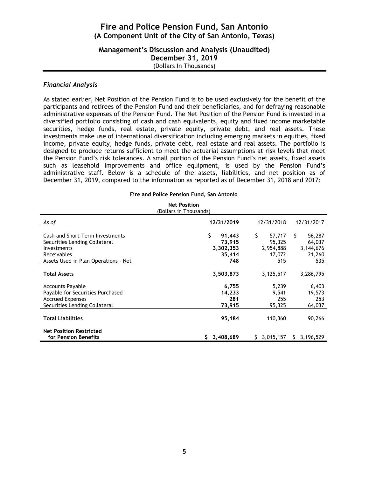### **Management's Discussion and Analysis (Unaudited) December 31, 2019**  (Dollars In Thousands)

#### *Financial Analysis*

As stated earlier, Net Position of the Pension Fund is to be used exclusively for the benefit of the participants and retirees of the Pension Fund and their beneficiaries, and for defraying reasonable administrative expenses of the Pension Fund. The Net Position of the Pension Fund is invested in a diversified portfolio consisting of cash and cash equivalents, equity and fixed income marketable securities, hedge funds, real estate, private equity, private debt, and real assets. These investments make use of international diversification including emerging markets in equities, fixed income, private equity, hedge funds, private debt, real estate and real assets. The portfolio is designed to produce returns sufficient to meet the actuarial assumptions at risk levels that meet the Pension Fund's risk tolerances. A small portion of the Pension Fund's net assets, fixed assets such as leasehold improvements and office equipment, is used by the Pension Fund's administrative staff. Below is a schedule of the assets, liabilities, and net position as of December 31, 2019, compared to the information as reported as of December 31, 2018 and 2017:

| <b>Net Position</b><br>(Dollars in Thousands)                                                                                          |                                                      |                                                      |                                                      |  |  |
|----------------------------------------------------------------------------------------------------------------------------------------|------------------------------------------------------|------------------------------------------------------|------------------------------------------------------|--|--|
| As of                                                                                                                                  | 12/31/2019                                           | 12/31/2018                                           | 12/31/2017                                           |  |  |
| Cash and Short-Term Investments<br>Securities Lending Collateral<br>Investments<br>Receivables<br>Assets Used in Plan Operations - Net | \$<br>91,443<br>73,915<br>3,302,353<br>35,414<br>748 | \$<br>57,717<br>95,325<br>2,954,888<br>17,072<br>515 | S.<br>56,287<br>64,037<br>3,144,676<br>21,260<br>535 |  |  |
| <b>Total Assets</b>                                                                                                                    | 3,503,873                                            | 3,125,517                                            | 3,286,795                                            |  |  |
| <b>Accounts Payable</b><br>Payable for Securities Purchased<br><b>Accrued Expenses</b><br>Securities Lending Collateral                | 6,755<br>14,233<br>281<br>73,915                     | 5,239<br>9,541<br>255<br>95,325                      | 6,403<br>19,573<br>253<br>64,037                     |  |  |
| <b>Total Liabilities</b>                                                                                                               | 95,184                                               | 110,360                                              | 90,266                                               |  |  |
| <b>Net Position Restricted</b><br>for Pension Benefits                                                                                 | 3,408,689                                            | 3,015,157<br>S.                                      | 3,196,529<br>S.                                      |  |  |

#### **Fire and Police Pension Fund, San Antonio**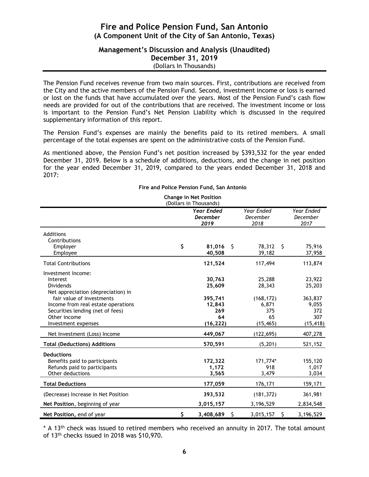### **Management's Discussion and Analysis (Unaudited) December 31, 2019**  (Dollars In Thousands)

The Pension Fund receives revenue from two main sources. First, contributions are received from the City and the active members of the Pension Fund. Second, investment income or loss is earned or lost on the funds that have accumulated over the years. Most of the Pension Fund's cash flow needs are provided for out of the contributions that are received. The investment income or loss is important to the Pension Fund's Net Pension Liability which is discussed in the required supplementary information of this report.

The Pension Fund's expenses are mainly the benefits paid to its retired members. A small percentage of the total expenses are spent on the administrative costs of the Pension Fund.

As mentioned above, the Pension Fund's net position increased by \$393,532 for the year ended December 31, 2019. Below is a schedule of additions, deductions, and the change in net position for the year ended December 31, 2019, compared to the years ended December 31, 2018 and 2017:

|                                                                                                                                                                                                                 | <b>Change in Net Position</b><br>(Dollars in Thousands) |                                                      |                                                    |
|-----------------------------------------------------------------------------------------------------------------------------------------------------------------------------------------------------------------|---------------------------------------------------------|------------------------------------------------------|----------------------------------------------------|
|                                                                                                                                                                                                                 | <b>Year Ended</b><br><b>December</b><br>2019            | <b>Year Ended</b><br><b>December</b><br>2018         | <b>Year Ended</b><br><b>December</b><br>2017       |
| Additions<br>Contributions<br>Employer<br>Employee                                                                                                                                                              | \$<br>81,016<br>-\$<br>40,508                           | 78,312<br>- \$<br>39,182                             | 75,916<br>37,958                                   |
| <b>Total Contributions</b>                                                                                                                                                                                      | 121,524                                                 | 117,494                                              | 113,874                                            |
| Investment Income:<br>Interest<br><b>Dividends</b><br>Net appreciation (depreciation) in<br>fair value of investments<br>Income from real estate operations<br>Securities lending (net of fees)<br>Other income | 30,763<br>25,609<br>395,741<br>12,843<br>269<br>64      | 25,288<br>28,343<br>(168, 172)<br>6,871<br>375<br>65 | 23,922<br>25,203<br>363,837<br>9,055<br>372<br>307 |
| Investment expenses                                                                                                                                                                                             | (16, 222)                                               | (15, 465)                                            | (15, 418)                                          |
| Net Investment (Loss) Income                                                                                                                                                                                    | 449,067                                                 | (122, 695)                                           | 407,278                                            |
| <b>Total (Deductions) Additions</b>                                                                                                                                                                             | 570,591                                                 | (5, 201)                                             | 521,152                                            |
| <b>Deductions</b><br>Benefits paid to participants<br>Refunds paid to participants<br>Other deductions                                                                                                          | 172,322<br>1,172<br>3,565                               | 171,774*<br>918<br>3,479                             | 155,120<br>1,017<br>3,034                          |
| <b>Total Deductions</b>                                                                                                                                                                                         | 177,059                                                 | 176,171                                              | 159,171                                            |
| (Decrease) Increase in Net Position                                                                                                                                                                             | 393,532                                                 | (181, 372)                                           | 361,981                                            |
| Net Position, beginning of year                                                                                                                                                                                 | 3,015,157                                               | 3,196,529                                            | 2,834,548                                          |
| Net Position, end of year                                                                                                                                                                                       | \$<br>\$<br>3,408,689                                   | \$<br>3,015,157                                      | 3,196,529                                          |

 **Fire and Police Pension Fund, San Antonio** 

\* A 13th check was issued to retired members who received an annuity in 2017. The total amount of 13<sup>th</sup> checks issued in 2018 was \$10,970.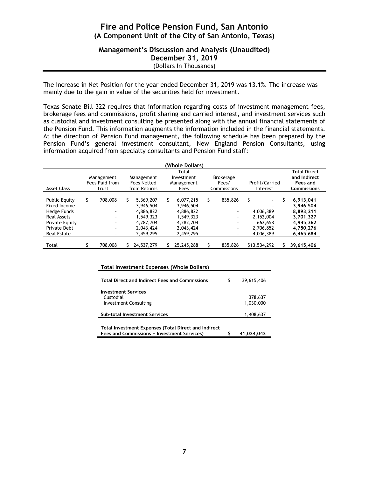### **Management's Discussion and Analysis (Unaudited) December 31, 2019**  (Dollars In Thousands)

The increase in Net Position for the year ended December 31, 2019 was 13.1%. The increase was mainly due to the gain in value of the securities held for investment.

Texas Senate Bill 322 requires that information regarding costs of investment management fees, brokerage fees and commissions, profit sharing and carried interest, and investment services such as custodial and investment consulting be presented along with the annual financial statements of the Pension Fund. This information augments the information included in the financial statements. At the direction of Pension Fund management, the following schedule has been prepared by the Pension Fund's general investment consultant, New England Pension Consultants, using information acquired from specialty consultants and Pension Fund staff:

|                      |                                       |   |                                                  | (Whole Dollars)                           |   |                                          |                            |                                                         |
|----------------------|---------------------------------------|---|--------------------------------------------------|-------------------------------------------|---|------------------------------------------|----------------------------|---------------------------------------------------------|
| <b>Asset Class</b>   | Management<br>Fees Paid from<br>Trust |   | Management<br><b>Fees Netted</b><br>from Returns | Total<br>Investment<br>Management<br>Fees |   | <b>Brokerage</b><br>Fees/<br>Commissions | Profit/Carried<br>Interest | Total Direct<br>and Indirect<br>Fees and<br>Commissions |
| <b>Public Equity</b> | 708,008                               | Ś | 5,369,207                                        | 6.077.215                                 | Ś | 835,826                                  | Ś<br>$\blacksquare$        | 6,913,041                                               |
| Fixed Income         |                                       |   | 3,946,504                                        | 3,946,504                                 |   |                                          |                            | 3,946,504                                               |
| Hedge Funds          | $\blacksquare$                        |   | 4.886.822                                        | 4,886,822                                 |   | $\blacksquare$                           | 4.006.389                  | 8,893,211                                               |
| Real Assets          | $\blacksquare$                        |   | 1,549,323                                        | 1,549,323                                 |   | ۰                                        | 2.152.004                  | 3,701,327                                               |
| Private Equity       | $\blacksquare$                        |   | 4.282.704                                        | 4.282.704                                 |   | ۰                                        | 662.658                    | 4,945,362                                               |
| <b>Private Debt</b>  |                                       |   | 2.043.424                                        | 2,043,424                                 |   | $\overline{\phantom{0}}$                 | 2,706,852                  | 4,750,276                                               |
| <b>Real Estate</b>   |                                       |   | 2.459.295                                        | 2,459,295                                 |   |                                          | 4.006.389                  | 6,465,684                                               |
| Total                | 708,008                               |   | 24.537.279                                       | 25,245,288                                |   | 835,826                                  | \$13,534,292               | 39,615,406                                              |

| <b>Total Investment Expenses (Whole Dollars)</b>                                                    |   |            |
|-----------------------------------------------------------------------------------------------------|---|------------|
| Total Direct and Indirect Fees and Commissions                                                      | S | 39,615,406 |
| <b>Investment Services</b>                                                                          |   |            |
| Custodial                                                                                           |   | 378,637    |
| Investment Consulting                                                                               |   | 1,030,000  |
|                                                                                                     |   |            |
| Sub-total Investment Services                                                                       |   | 1,408,637  |
| Total Investment Expenses (Total Direct and Indirect<br>Fees and Commissions + Investment Services) |   | 41,024,042 |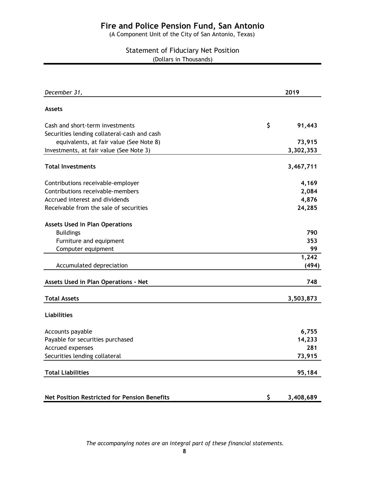(A Component Unit of the City of San Antonio, Texas)

Statement of Fiduciary Net Position (Dollars in Thousands)

| December 31,                                        | 2019            |
|-----------------------------------------------------|-----------------|
| <b>Assets</b>                                       |                 |
| Cash and short-term investments                     | \$<br>91,443    |
| Securities lending collateral-cash and cash         |                 |
| equivalents, at fair value (See Note 8)             | 73,915          |
| Investments, at fair value (See Note 3)             | 3,302,353       |
| <b>Total Investments</b>                            | 3,467,711       |
| Contributions receivable-employer                   | 4,169           |
| Contributions receivable-members                    | 2,084           |
| Accrued interest and dividends                      | 4,876           |
| Receivable from the sale of securities              | 24,285          |
| <b>Assets Used in Plan Operations</b>               |                 |
| <b>Buildings</b>                                    | 790             |
| Furniture and equipment                             | 353             |
| Computer equipment                                  | 99              |
|                                                     | 1,242           |
| Accumulated depreciation                            | (494)           |
| Assets Used in Plan Operations - Net                | 748             |
| <b>Total Assets</b>                                 | 3,503,873       |
| Liabilities                                         |                 |
| Accounts payable                                    | 6,755           |
| Payable for securities purchased                    | 14,233          |
| Accrued expenses                                    | 281             |
| Securities lending collateral                       | 73,915          |
| <b>Total Liabilities</b>                            | 95,184          |
|                                                     |                 |
|                                                     |                 |
| <b>Net Position Restricted for Pension Benefits</b> | \$<br>3,408,689 |

*The accompanying notes are an integral part of these financial statements.*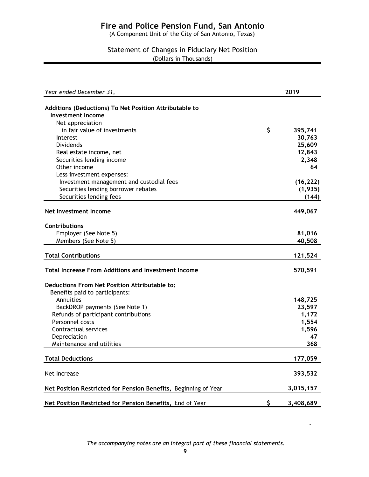(A Component Unit of the City of San Antonio, Texas)

### Statement of Changes in Fiduciary Net Position (Dollars in Thousands)

| Year ended December 31,                                                     | 2019            |
|-----------------------------------------------------------------------------|-----------------|
| Additions (Deductions) To Net Position Attributable to<br>Investment Income |                 |
| Net appreciation                                                            |                 |
| in fair value of investments                                                | \$<br>395,741   |
| Interest                                                                    | 30,763          |
| <b>Dividends</b>                                                            | 25,609          |
| Real estate income, net                                                     | 12,843          |
| Securities lending income                                                   | 2,348           |
| Other income                                                                | 64              |
| Less investment expenses:                                                   |                 |
| Investment management and custodial fees                                    | (16, 222)       |
| Securities lending borrower rebates                                         | (1, 935)        |
| Securities lending fees                                                     | (144)           |
| Net Investment Income                                                       | 449,067         |
| <b>Contributions</b>                                                        |                 |
| Employer (See Note 5)                                                       | 81,016          |
| Members (See Note 5)                                                        | 40,508          |
|                                                                             |                 |
| <b>Total Contributions</b>                                                  | 121,524         |
| <b>Total Increase From Additions and Investment Income</b>                  | 570,591         |
| Deductions From Net Position Attributable to:                               |                 |
| Benefits paid to participants:                                              |                 |
| Annuities                                                                   | 148,725         |
| BackDROP payments (See Note 1)                                              | 23,597          |
| Refunds of participant contributions                                        | 1,172           |
| Personnel costs                                                             | 1,554           |
| Contractual services                                                        | 1,596           |
| Depreciation                                                                | 47              |
| Maintenance and utilities                                                   | 368             |
| <b>Total Deductions</b>                                                     | 177,059         |
|                                                                             |                 |
| Net Increase                                                                | 393,532         |
| Net Position Restricted for Pension Benefits, Beginning of Year             | 3,015,157       |
| Net Position Restricted for Pension Benefits, End of Year                   | \$<br>3,408,689 |

*The accompanying notes are an integral part of these financial statements.*

-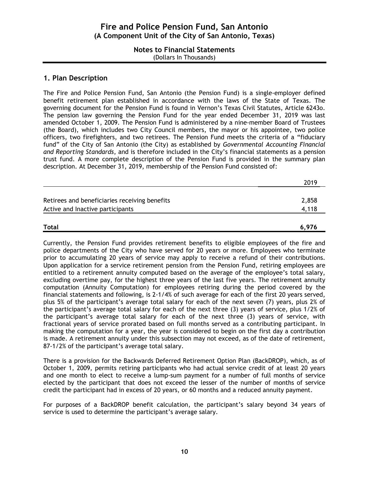### **Notes to Financial Statements**  (Dollars In Thousands)

### **1. Plan Description**

The Fire and Police Pension Fund, San Antonio (the Pension Fund) is a single-employer defined benefit retirement plan established in accordance with the laws of the State of Texas. The governing document for the Pension Fund is found in Vernon's Texas Civil Statutes, Article 6243o. The pension law governing the Pension Fund for the year ended December 31, 2019 was last amended October 1, 2009. The Pension Fund is administered by a nine-member Board of Trustees (the Board), which includes two City Council members, the mayor or his appointee, two police officers, two firefighters, and two retirees. The Pension Fund meets the criteria of a "fiduciary fund" of the City of San Antonio (the City) as established by *Governmental Accounting Financial and Reporting Standards*, and is therefore included in the City's financial statements as a pension trust fund. A more complete description of the Pension Fund is provided in the summary plan description. At December 31, 2019, membership of the Pension Fund consisted of:

| Total                                         | 6,976 |
|-----------------------------------------------|-------|
| Active and Inactive participants              | 4,118 |
| Retirees and beneficiaries receiving benefits | 2,858 |
|                                               |       |
|                                               | 2019  |

Currently, the Pension Fund provides retirement benefits to eligible employees of the fire and police departments of the City who have served for 20 years or more. Employees who terminate prior to accumulating 20 years of service may apply to receive a refund of their contributions. Upon application for a service retirement pension from the Pension Fund, retiring employees are entitled to a retirement annuity computed based on the average of the employee's total salary, excluding overtime pay, for the highest three years of the last five years. The retirement annuity computation (Annuity Computation) for employees retiring during the period covered by the financial statements and following, is 2-1/4% of such average for each of the first 20 years served, plus 5% of the participant's average total salary for each of the next seven (7) years, plus 2% of the participant's average total salary for each of the next three (3) years of service, plus 1/2% of the participant's average total salary for each of the next three (3) years of service, with fractional years of service prorated based on full months served as a contributing participant. In making the computation for a year, the year is considered to begin on the first day a contribution is made. A retirement annuity under this subsection may not exceed, as of the date of retirement, 87-1/2% of the participant's average total salary.

There is a provision for the Backwards Deferred Retirement Option Plan (BackDROP), which, as of October 1, 2009, permits retiring participants who had actual service credit of at least 20 years and one month to elect to receive a lump-sum payment for a number of full months of service elected by the participant that does not exceed the lesser of the number of months of service credit the participant had in excess of 20 years, or 60 months and a reduced annuity payment.

For purposes of a BackDROP benefit calculation, the participant's salary beyond 34 years of service is used to determine the participant's average salary.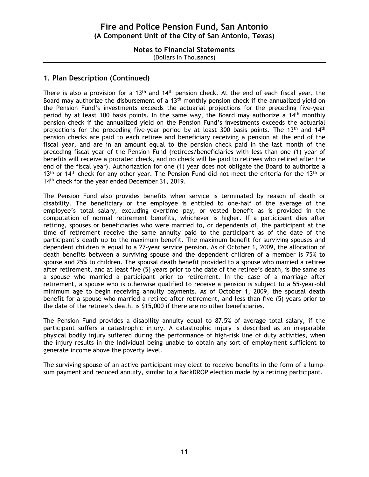### **Notes to Financial Statements**  (Dollars In Thousands)

### **1. Plan Description (Continued)**

There is also a provision for a 13<sup>th</sup> and 14<sup>th</sup> pension check. At the end of each fiscal year, the Board may authorize the disbursement of a 13<sup>th</sup> monthly pension check if the annualized yield on the Pension Fund's investments exceeds the actuarial projections for the preceding five-year period by at least 100 basis points. In the same way, the Board may authorize a 14<sup>th</sup> monthly pension check if the annualized yield on the Pension Fund's investments exceeds the actuarial projections for the preceding five-year period by at least 300 basis points. The  $13<sup>th</sup>$  and  $14<sup>th</sup>$ pension checks are paid to each retiree and beneficiary receiving a pension at the end of the fiscal year, and are in an amount equal to the pension check paid in the last month of the preceding fiscal year of the Pension Fund (retirees/beneficiaries with less than one (1) year of benefits will receive a prorated check, and no check will be paid to retirees who retired after the end of the fiscal year). Authorization for one (1) year does not obligate the Board to authorize a  $13<sup>th</sup>$  or  $14<sup>th</sup>$  check for any other year. The Pension Fund did not meet the criteria for the  $13<sup>th</sup>$  or 14<sup>th</sup> check for the year ended December 31, 2019.

The Pension Fund also provides benefits when service is terminated by reason of death or disability. The beneficiary or the employee is entitled to one-half of the average of the employee's total salary, excluding overtime pay, or vested benefit as is provided in the computation of normal retirement benefits, whichever is higher. If a participant dies after retiring, spouses or beneficiaries who were married to, or dependents of, the participant at the time of retirement receive the same annuity paid to the participant as of the date of the participant's death up to the maximum benefit. The maximum benefit for surviving spouses and dependent children is equal to a 27-year service pension. As of October 1, 2009, the allocation of death benefits between a surviving spouse and the dependent children of a member is 75% to spouse and 25% to children. The spousal death benefit provided to a spouse who married a retiree after retirement, and at least five (5) years prior to the date of the retiree's death, is the same as a spouse who married a participant prior to retirement. In the case of a marriage after retirement, a spouse who is otherwise qualified to receive a pension is subject to a 55-year-old minimum age to begin receiving annuity payments. As of October 1, 2009, the spousal death benefit for a spouse who married a retiree after retirement, and less than five (5) years prior to the date of the retiree's death, is \$15,000 if there are no other beneficiaries.

The Pension Fund provides a disability annuity equal to 87.5% of average total salary, if the participant suffers a catastrophic injury. A catastrophic injury is described as an irreparable physical bodily injury suffered during the performance of high-risk line of duty activities, when the injury results in the individual being unable to obtain any sort of employment sufficient to generate income above the poverty level.

The surviving spouse of an active participant may elect to receive benefits in the form of a lumpsum payment and reduced annuity, similar to a BackDROP election made by a retiring participant.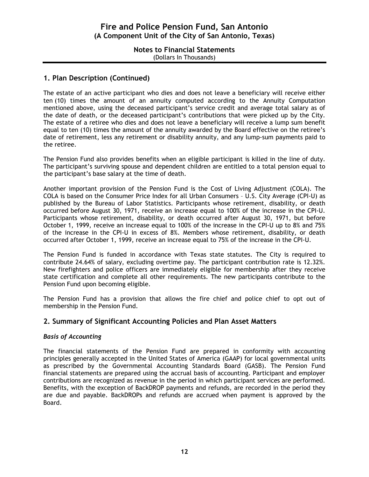### **Notes to Financial Statements**  (Dollars In Thousands)

### **1. Plan Description (Continued)**

The estate of an active participant who dies and does not leave a beneficiary will receive either ten (10) times the amount of an annuity computed according to the Annuity Computation mentioned above, using the deceased participant's service credit and average total salary as of the date of death, or the deceased participant's contributions that were picked up by the City. The estate of a retiree who dies and does not leave a beneficiary will receive a lump sum benefit equal to ten (10) times the amount of the annuity awarded by the Board effective on the retiree's date of retirement, less any retirement or disability annuity, and any lump-sum payments paid to the retiree.

The Pension Fund also provides benefits when an eligible participant is killed in the line of duty. The participant's surviving spouse and dependent children are entitled to a total pension equal to the participant's base salary at the time of death.

Another important provision of the Pension Fund is the Cost of Living Adjustment (COLA). The COLA is based on the Consumer Price Index for all Urban Consumers – U.S. City Average (CPI-U) as published by the Bureau of Labor Statistics. Participants whose retirement, disability, or death occurred before August 30, 1971, receive an increase equal to 100% of the increase in the CPI-U. Participants whose retirement, disability, or death occurred after August 30, 1971, but before October 1, 1999, receive an increase equal to 100% of the increase in the CPI-U up to 8% and 75% of the increase in the CPI-U in excess of 8%. Members whose retirement, disability, or death occurred after October 1, 1999, receive an increase equal to 75% of the increase in the CPI-U.

The Pension Fund is funded in accordance with Texas state statutes. The City is required to contribute 24.64% of salary, excluding overtime pay. The participant contribution rate is 12.32%. New firefighters and police officers are immediately eligible for membership after they receive state certification and complete all other requirements. The new participants contribute to the Pension Fund upon becoming eligible.

The Pension Fund has a provision that allows the fire chief and police chief to opt out of membership in the Pension Fund.

### **2. Summary of Significant Accounting Policies and Plan Asset Matters**

### *Basis of Accounting*

The financial statements of the Pension Fund are prepared in conformity with accounting principles generally accepted in the United States of America (GAAP) for local governmental units as prescribed by the Governmental Accounting Standards Board (GASB). The Pension Fund financial statements are prepared using the accrual basis of accounting. Participant and employer contributions are recognized as revenue in the period in which participant services are performed. Benefits, with the exception of BackDROP payments and refunds, are recorded in the period they are due and payable. BackDROPs and refunds are accrued when payment is approved by the Board.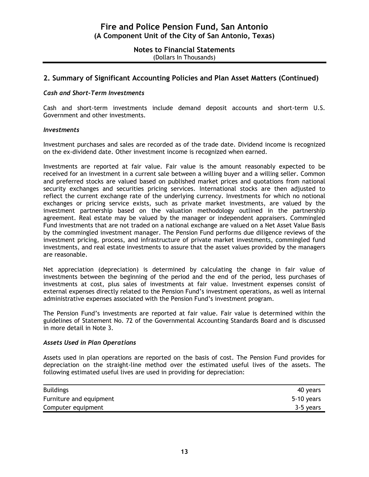**Notes to Financial Statements**  (Dollars In Thousands)

### **2. Summary of Significant Accounting Policies and Plan Asset Matters (Continued)**

#### *Cash and Short-Term Investments*

Cash and short-term investments include demand deposit accounts and short-term U.S. Government and other investments.

### *Investments*

Investment purchases and sales are recorded as of the trade date. Dividend income is recognized on the ex-dividend date. Other investment income is recognized when earned.

Investments are reported at fair value. Fair value is the amount reasonably expected to be received for an investment in a current sale between a willing buyer and a willing seller. Common and preferred stocks are valued based on published market prices and quotations from national security exchanges and securities pricing services. International stocks are then adjusted to reflect the current exchange rate of the underlying currency. Investments for which no notional exchanges or pricing service exists, such as private market investments, are valued by the investment partnership based on the valuation methodology outlined in the partnership agreement. Real estate may be valued by the manager or independent appraisers. Commingled Fund investments that are not traded on a national exchange are valued on a Net Asset Value Basis by the commingled investment manager. The Pension Fund performs due diligence reviews of the investment pricing, process, and infrastructure of private market investments, commingled fund investments, and real estate investments to assure that the asset values provided by the managers are reasonable.

Net appreciation (depreciation) is determined by calculating the change in fair value of investments between the beginning of the period and the end of the period, less purchases of investments at cost, plus sales of investments at fair value. Investment expenses consist of external expenses directly related to the Pension Fund's investment operations, as well as internal administrative expenses associated with the Pension Fund's investment program.

The Pension Fund's investments are reported at fair value. Fair value is determined within the guidelines of Statement No. 72 of the Governmental Accounting Standards Board and is discussed in more detail in Note 3.

#### *Assets Used in Plan Operations*

Assets used in plan operations are reported on the basis of cost. The Pension Fund provides for depreciation on the straight-line method over the estimated useful lives of the assets. The following estimated useful lives are used in providing for depreciation:

| <b>Buildings</b>        | 40 years   |
|-------------------------|------------|
| Furniture and equipment | 5-10 years |
| Computer equipment      | 3-5 years  |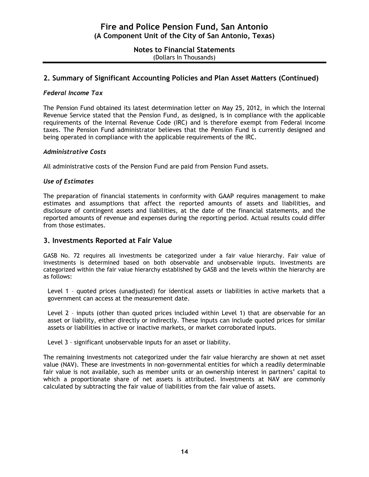**Notes to Financial Statements**  (Dollars In Thousands)

### **2. Summary of Significant Accounting Policies and Plan Asset Matters (Continued)**

#### *Federal Income Tax*

The Pension Fund obtained its latest determination letter on May 25, 2012, in which the Internal Revenue Service stated that the Pension Fund, as designed, is in compliance with the applicable requirements of the Internal Revenue Code (IRC) and is therefore exempt from Federal income taxes. The Pension Fund administrator believes that the Pension Fund is currently designed and being operated in compliance with the applicable requirements of the IRC.

#### *Administrative Costs*

All administrative costs of the Pension Fund are paid from Pension Fund assets.

#### *Use of Estimates*

The preparation of financial statements in conformity with GAAP requires management to make estimates and assumptions that affect the reported amounts of assets and liabilities, and disclosure of contingent assets and liabilities, at the date of the financial statements, and the reported amounts of revenue and expenses during the reporting period. Actual results could differ from those estimates.

### **3. Investments Reported at Fair Value**

GASB No. 72 requires all investments be categorized under a fair value hierarchy. Fair value of investments is determined based on both observable and unobservable inputs. Investments are categorized within the fair value hierarchy established by GASB and the levels within the hierarchy are as follows:

Level 1 – quoted prices (unadjusted) for identical assets or liabilities in active markets that a government can access at the measurement date.

Level 2 – inputs (other than quoted prices included within Level 1) that are observable for an asset or liability, either directly or indirectly. These inputs can include quoted prices for similar assets or liabilities in active or inactive markets, or market corroborated inputs.

Level 3 – significant unobservable inputs for an asset or liability.

The remaining investments not categorized under the fair value hierarchy are shown at net asset value (NAV). These are investments in non-governmental entities for which a readily determinable fair value is not available, such as member units or an ownership interest in partners' capital to which a proportionate share of net assets is attributed. Investments at NAV are commonly calculated by subtracting the fair value of liabilities from the fair value of assets.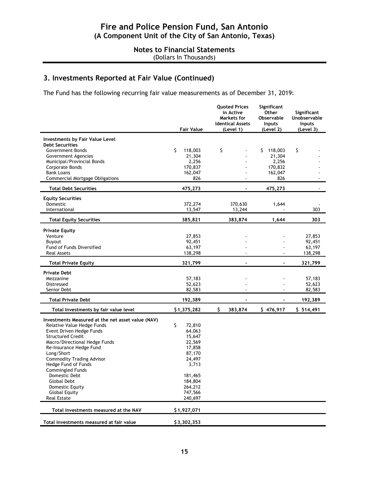### **Notes to Financial Statements**  (Dollars In Thousands)

# **3. Investments Reported at Fair Value (Continued)**

The Fund has the following recurring fair value measurements as of December 31, 2019:

|                                                   | <b>Fair Value</b>  | <b>Quoted Prices</b><br>in Active<br>Markets for<br><b>Identical Assets</b><br>(Level 1) | Significant<br>Other<br>Observable<br><b>Inputs</b><br>(Level 2) | Significant<br>Unobservable<br>Inputs<br>(Level 3) |
|---------------------------------------------------|--------------------|------------------------------------------------------------------------------------------|------------------------------------------------------------------|----------------------------------------------------|
| <b>Investments by Fair Value Level</b>            |                    |                                                                                          |                                                                  |                                                    |
| <b>Debt Securities</b>                            |                    |                                                                                          |                                                                  |                                                    |
| <b>Government Bonds</b>                           | \$<br>118,003      | \$                                                                                       | 118,003<br>\$.                                                   | \$                                                 |
| Government Agencies                               | 21,304             |                                                                                          | 21,304                                                           |                                                    |
| Municipal/Provincial Bonds                        | 2,256              |                                                                                          | 2,256                                                            |                                                    |
| Corporate Bonds                                   | 170,837            |                                                                                          | 170,832                                                          |                                                    |
| <b>Bank Loans</b>                                 | 162,047            |                                                                                          | 162,047                                                          |                                                    |
| <b>Commercial Mortgage Obligations</b>            | 826                |                                                                                          | 826                                                              |                                                    |
| <b>Total Debt Securities</b>                      | 475,273            |                                                                                          | 475,273                                                          |                                                    |
| <b>Equity Securities</b>                          |                    |                                                                                          |                                                                  |                                                    |
| Domestic                                          | 372,274            | 370,630                                                                                  | 1,644                                                            |                                                    |
| International                                     | 13,547             | 13,244                                                                                   |                                                                  | 303                                                |
| <b>Total Equity Securities</b>                    | 385,821            | 383,874                                                                                  | 1,644                                                            | 303                                                |
|                                                   |                    |                                                                                          |                                                                  |                                                    |
| <b>Private Equity</b>                             |                    |                                                                                          |                                                                  |                                                    |
| Venture<br>Buyout                                 | 27,853<br>92,451   |                                                                                          |                                                                  | 27,853<br>92,451                                   |
| Fund of Funds Diversified                         | 63,197             |                                                                                          |                                                                  | 63,197                                             |
| <b>Real Assets</b>                                | 138,298            |                                                                                          |                                                                  | 138,298                                            |
| <b>Total Private Equity</b>                       | 321,799            |                                                                                          |                                                                  | 321,799                                            |
| <b>Private Debt</b>                               |                    |                                                                                          |                                                                  |                                                    |
| Mezzanine                                         | 57,183             |                                                                                          |                                                                  | 57,183                                             |
| Distressed                                        | 52,623             |                                                                                          |                                                                  | 52,623                                             |
| Senior Debt                                       | 82,583             |                                                                                          |                                                                  | 82,583                                             |
| <b>Total Private Debt</b>                         | 192,389            |                                                                                          |                                                                  | 192,389                                            |
| Total Investments by fair value level             | \$1,375,282        | S.<br>383,874                                                                            | \$476,917                                                        | \$514,491                                          |
| Investments Measured at the net asset value (NAV) |                    |                                                                                          |                                                                  |                                                    |
| Relative Value Hedge Funds                        | \$<br>72,810       |                                                                                          |                                                                  |                                                    |
| Event Driven Hedge Funds                          | 64,063             |                                                                                          |                                                                  |                                                    |
| <b>Structured Credit</b>                          | 15,647             |                                                                                          |                                                                  |                                                    |
| Macro/Directional Hedge Funds                     | 22,569             |                                                                                          |                                                                  |                                                    |
| Re-Insurance Hedge Fund                           | 17,858             |                                                                                          |                                                                  |                                                    |
| Long/Short                                        | 87,170             |                                                                                          |                                                                  |                                                    |
| <b>Commodity Trading Advisor</b>                  | 24,497             |                                                                                          |                                                                  |                                                    |
| Hedge Fund of Funds                               | 3,713              |                                                                                          |                                                                  |                                                    |
| <b>Commingled Funds</b>                           |                    |                                                                                          |                                                                  |                                                    |
| Domestic Debt                                     | 181,465            |                                                                                          |                                                                  |                                                    |
| <b>Global Debt</b>                                | 184,804            |                                                                                          |                                                                  |                                                    |
| <b>Domestic Equity</b><br><b>Global Equity</b>    | 264,212<br>747,566 |                                                                                          |                                                                  |                                                    |
| <b>Real Estate</b>                                | 240,697            |                                                                                          |                                                                  |                                                    |
| Total investments measured at the NAV             | \$1,927,071        |                                                                                          |                                                                  |                                                    |
| Total investments measured at fair value          | \$3,302,353        |                                                                                          |                                                                  |                                                    |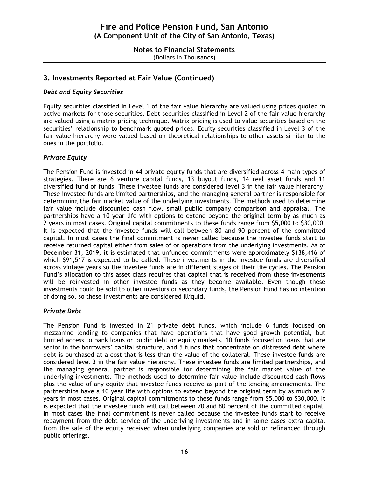**Notes to Financial Statements**  (Dollars In Thousands)

### **3. Investments Reported at Fair Value (Continued)**

#### *Debt and Equity Securities*

Equity securities classified in Level 1 of the fair value hierarchy are valued using prices quoted in active markets for those securities. Debt securities classified in Level 2 of the fair value hierarchy are valued using a matrix pricing technique. Matrix pricing is used to value securities based on the securities' relationship to benchmark quoted prices. Equity securities classified in Level 3 of the fair value hierarchy were valued based on theoretical relationships to other assets similar to the ones in the portfolio.

### *Private Equity*

The Pension Fund is invested in 44 private equity funds that are diversified across 4 main types of strategies. There are 6 venture capital funds, 13 buyout funds, 14 real asset funds and 11 diversified fund of funds. These investee funds are considered level 3 in the fair value hierarchy. These investee funds are limited partnerships, and the managing general partner is responsible for determining the fair market value of the underlying investments. The methods used to determine fair value include discounted cash flow, small public company comparison and appraisal. The partnerships have a 10 year life with options to extend beyond the original term by as much as 2 years in most cases. Original capital commitments to these funds range from \$5,000 to \$30,000. It is expected that the investee funds will call between 80 and 90 percent of the committed capital. In most cases the final commitment is never called because the investee funds start to receive returned capital either from sales of or operations from the underlying investments. As of December 31, 2019, it is estimated that unfunded commitments were approximately \$138,416 of which \$91,517 is expected to be called. These investments in the investee funds are diversified across vintage years so the investee funds are in different stages of their life cycles. The Pension Fund's allocation to this asset class requires that capital that is received from these investments will be reinvested in other investee funds as they become available. Even though these investments could be sold to other investors or secondary funds, the Pension Fund has no intention of doing so, so these investments are considered illiquid.

### *Private Debt*

The Pension Fund is invested in 21 private debt funds, which include 6 funds focused on mezzanine lending to companies that have operations that have good growth potential, but limited access to bank loans or public debt or equity markets, 10 funds focused on loans that are senior in the borrowers' capital structure, and 5 funds that concentrate on distressed debt where debt is purchased at a cost that is less than the value of the collateral. These investee funds are considered level 3 in the fair value hierarchy. These investee funds are limited partnerships, and the managing general partner is responsible for determining the fair market value of the underlying investments. The methods used to determine fair value include discounted cash flows plus the value of any equity that investee funds receive as part of the lending arrangements. The partnerships have a 10 year life with options to extend beyond the original term by as much as 2 years in most cases. Original capital commitments to these funds range from \$5,000 to \$30,000. It is expected that the investee funds will call between 70 and 80 percent of the committed capital. In most cases the final commitment is never called because the investee funds start to receive repayment from the debt service of the underlying investments and in some cases extra capital from the sale of the equity received when underlying companies are sold or refinanced through public offerings.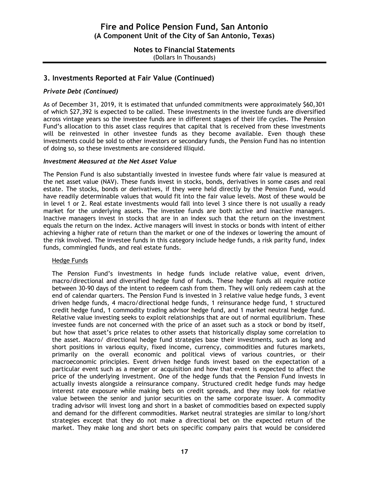**Notes to Financial Statements**  (Dollars In Thousands)

### **3. Investments Reported at Fair Value (Continued)**

### *Private Debt (Continued)*

As of December 31, 2019, it is estimated that unfunded commitments were approximately \$60,301 of which \$27,392 is expected to be called. These investments in the investee funds are diversified across vintage years so the investee funds are in different stages of their life cycles. The Pension Fund's allocation to this asset class requires that capital that is received from these investments will be reinvested in other investee funds as they become available. Even though these investments could be sold to other investors or secondary funds, the Pension Fund has no intention of doing so, so these investments are considered illiquid.

#### *Investment Measured at the Net Asset Value*

The Pension Fund is also substantially invested in investee funds where fair value is measured at the net asset value (NAV). These funds invest in stocks, bonds, derivatives in some cases and real estate. The stocks, bonds or derivatives, if they were held directly by the Pension Fund, would have readily determinable values that would fit into the fair value levels. Most of these would be in level 1 or 2. Real estate investments would fall into level 3 since there is not usually a ready market for the underlying assets. The investee funds are both active and inactive managers. Inactive managers invest in stocks that are in an index such that the return on the investment equals the return on the index. Active managers will invest in stocks or bonds with intent of either achieving a higher rate of return than the market or one of the indexes or lowering the amount of the risk involved. The investee funds in this category include hedge funds, a risk parity fund, index funds, commingled funds, and real estate funds.

#### Hedge Funds

The Pension Fund's investments in hedge funds include relative value, event driven, macro/directional and diversified hedge fund of funds. These hedge funds all require notice between 30-90 days of the intent to redeem cash from them. They will only redeem cash at the end of calendar quarters. The Pension Fund is invested in 3 relative value hedge funds, 3 event driven hedge funds, 4 macro/directional hedge funds, 1 reinsurance hedge fund, 1 structured credit hedge fund, 1 commodity trading advisor hedge fund, and 1 market neutral hedge fund. Relative value investing seeks to exploit relationships that are out of normal equilibrium. These investee funds are not concerned with the price of an asset such as a stock or bond by itself, but how that asset's price relates to other assets that historically display some correlation to the asset. Macro/ directional hedge fund strategies base their investments, such as long and short positions in various equity, fixed income, currency, commodities and futures markets, primarily on the overall economic and political views of various countries, or their macroeconomic principles. Event driven hedge funds invest based on the expectation of a particular event such as a merger or acquisition and how that event is expected to affect the price of the underlying investment. One of the hedge funds that the Pension Fund invests in actually invests alongside a reinsurance company. Structured credit hedge funds may hedge interest rate exposure while making bets on credit spreads, and they may look for relative value between the senior and junior securities on the same corporate issuer. A commodity trading advisor will invest long and short in a basket of commodities based on expected supply and demand for the different commodities. Market neutral strategies are similar to long/short strategies except that they do not make a directional bet on the expected return of the market. They make long and short bets on specific company pairs that would be considered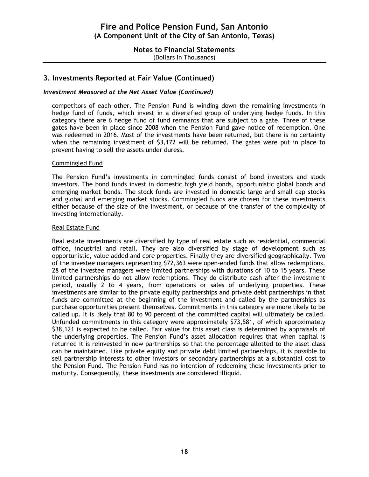### **Notes to Financial Statements**  (Dollars In Thousands)

### **3. Investments Reported at Fair Value (Continued)**

#### *Investment Measured at the Net Asset Value (Continued)*

competitors of each other. The Pension Fund is winding down the remaining investments in hedge fund of funds, which invest in a diversified group of underlying hedge funds. In this category there are 6 hedge fund of fund remnants that are subject to a gate. Three of these gates have been in place since 2008 when the Pension Fund gave notice of redemption. One was redeemed in 2016. Most of the investments have been returned, but there is no certainty when the remaining investment of \$3,172 will be returned. The gates were put in place to prevent having to sell the assets under duress.

#### Commingled Fund

The Pension Fund's investments in commingled funds consist of bond investors and stock investors. The bond funds invest in domestic high yield bonds, opportunistic global bonds and emerging market bonds. The stock funds are invested in domestic large and small cap stocks and global and emerging market stocks. Commingled funds are chosen for these investments either because of the size of the investment, or because of the transfer of the complexity of investing internationally.

#### Real Estate Fund

Real estate investments are diversified by type of real estate such as residential, commercial office, industrial and retail. They are also diversified by stage of development such as opportunistic, value added and core properties. Finally they are diversified geographically. Two of the investee managers representing \$72,363 were open-ended funds that allow redemptions. 28 of the investee managers were limited partnerships with durations of 10 to 15 years. These limited partnerships do not allow redemptions. They do distribute cash after the investment period, usually 2 to 4 years, from operations or sales of underlying properties. These investments are similar to the private equity partnerships and private debt partnerships in that funds are committed at the beginning of the investment and called by the partnerships as purchase opportunities present themselves. Commitments in this category are more likely to be called up. It is likely that 80 to 90 percent of the committed capital will ultimately be called. Unfunded commitments in this category were approximately \$73,581, of which approximately \$38,121 is expected to be called. Fair value for this asset class is determined by appraisals of the underlying properties. The Pension Fund's asset allocation requires that when capital is returned it is reinvested in new partnerships so that the percentage allotted to the asset class can be maintained. Like private equity and private debt limited partnerships, it is possible to sell partnership interests to other investors or secondary partnerships at a substantial cost to the Pension Fund. The Pension Fund has no intention of redeeming these investments prior to maturity. Consequently, these investments are considered illiquid.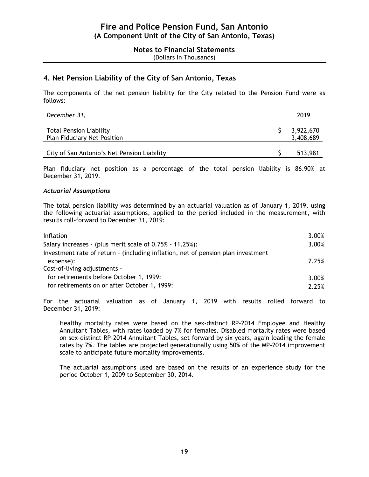#### **Notes to Financial Statements**  (Dollars In Thousands)

### **4. Net Pension Liability of the City of San Antonio, Texas**

The components of the net pension liability for the City related to the Pension Fund were as follows:

| December 31,                                                         | 2019                   |
|----------------------------------------------------------------------|------------------------|
| <b>Total Pension Liability</b><br><b>Plan Fiduciary Net Position</b> | 3,922,670<br>3,408,689 |
| City of San Antonio's Net Pension Liability                          | 513,981                |

Plan fiduciary net position as a percentage of the total pension liability is 86.90% at December 31, 2019.

#### *Actuarial Assumptions*

The total pension liability was determined by an actuarial valuation as of January 1, 2019, using the following actuarial assumptions, applied to the period included in the measurement, with results roll-forward to December 31, 2019:

| Inflation                                                                        | 3.00% |
|----------------------------------------------------------------------------------|-------|
| Salary increases - (plus merit scale of 0.75% - 11.25%):                         | 3.00% |
| Investment rate of return - (including inflation, net of pension plan investment |       |
| expense):                                                                        | 7.25% |
| Cost-of-living adjustments -                                                     |       |
| for retirements before October 1, 1999:                                          | 3.00% |
| for retirements on or after October 1, 1999:                                     | 2.25% |

For the actuarial valuation as of January 1, 2019 with results rolled forward to December 31, 2019:

Healthy mortality rates were based on the sex-distinct RP-2014 Employee and Healthy Annuitant Tables, with rates loaded by 7% for females. Disabled mortality rates were based on sex-distinct RP-2014 Annuitant Tables, set forward by six years, again loading the female rates by 7%. The tables are projected generationally using 50% of the MP-2014 improvement scale to anticipate future mortality improvements.

The actuarial assumptions used are based on the results of an experience study for the period October 1, 2009 to September 30, 2014.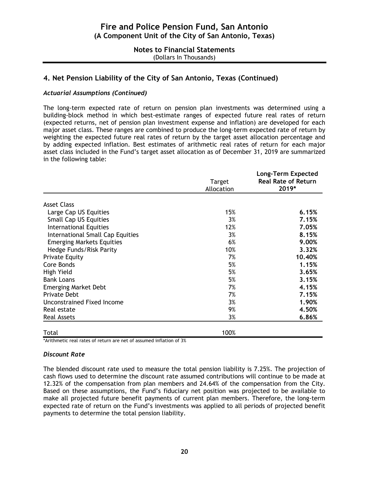### **Notes to Financial Statements**  (Dollars In Thousands)

### **4. Net Pension Liability of the City of San Antonio, Texas (Continued)**

### *Actuarial Assumptions (Continued)*

The long-term expected rate of return on pension plan investments was determined using a building-block method in which best-estimate ranges of expected future real rates of return (expected returns, net of pension plan investment expense and inflation) are developed for each major asset class. These ranges are combined to produce the long-term expected rate of return by weighting the expected future real rates of return by the target asset allocation percentage and by adding expected inflation. Best estimates of arithmetic real rates of return for each major asset class included in the Fund's target asset allocation as of December 31, 2019 are summarized in the following table:

|                                         | Target<br>Allocation | <b>Long-Term Expected</b><br><b>Real Rate of Return</b><br>2019* |
|-----------------------------------------|----------------------|------------------------------------------------------------------|
| <b>Asset Class</b>                      |                      |                                                                  |
|                                         |                      |                                                                  |
| Large Cap US Equities                   | 15%                  | 6.15%                                                            |
| <b>Small Cap US Equities</b>            | 3%                   | 7.15%                                                            |
| <b>International Equities</b>           | 12%                  | 7.05%                                                            |
| <b>International Small Cap Equities</b> | 3%                   | 8.15%                                                            |
| <b>Emerging Markets Equities</b>        | 6%                   | 9.00%                                                            |
| Hedge Funds/Risk Parity                 | 10%                  | 3.32%                                                            |
| <b>Private Equity</b>                   | 7%                   | 10.40%                                                           |
| Core Bonds                              | 5%                   | 1.15%                                                            |
| High Yield                              | 5%                   | 3.65%                                                            |
| <b>Bank Loans</b>                       | 5%                   | 3.15%                                                            |
| <b>Emerging Market Debt</b>             | 7%                   | 4.15%                                                            |
| <b>Private Debt</b>                     | 7%                   | 7.15%                                                            |
| Unconstrained Fixed Income              | 3%                   | 1.90%                                                            |
| Real estate                             | 9%                   | 4.50%                                                            |
| <b>Real Assets</b>                      | 3%                   | 6.86%                                                            |
| Total                                   | 100%                 |                                                                  |

\*Arithmetic real rates of return are net of assumed inflation of 3%

### *Discount Rate*

The blended discount rate used to measure the total pension liability is 7.25%. The projection of cash flows used to determine the discount rate assumed contributions will continue to be made at 12.32% of the compensation from plan members and 24.64% of the compensation from the City. Based on these assumptions, the Fund's fiduciary net position was projected to be available to make all projected future benefit payments of current plan members. Therefore, the long-term expected rate of return on the Fund's investments was applied to all periods of projected benefit payments to determine the total pension liability.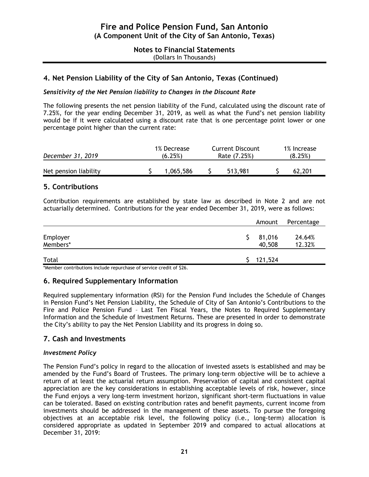### **Notes to Financial Statements**  (Dollars In Thousands)

### **4. Net Pension Liability of the City of San Antonio, Texas (Continued)**

### *Sensitivity of the Net Pension liability to Changes in the Discount Rate*

The following presents the net pension liability of the Fund, calculated using the discount rate of 7.25%, for the year ending December 31, 2019, as well as what the Fund's net pension liability would be if it were calculated using a discount rate that is one percentage point lower or one percentage point higher than the current rate:

| December 31, 2019     | 1% Decrease<br>(6.25%) |  | <b>Current Discount</b><br>Rate (7.25%) | 1% Increase<br>(8.25%) |
|-----------------------|------------------------|--|-----------------------------------------|------------------------|
| Net pension liability | 1,065,586              |  | 513.981                                 | 62,201                 |

### **5. Contributions**

Contribution requirements are established by state law as described in Note 2 and are not actuarially determined. Contributions for the year ended December 31, 2019, were as follows:

|                                        | Amount           | Percentage       |  |  |
|----------------------------------------|------------------|------------------|--|--|
| Employer<br>Members*                   | 81,016<br>40,508 | 24.64%<br>12.32% |  |  |
| Total<br>$\cdots$ $\cdots$<br>$\cdots$ | 121,524          |                  |  |  |

\*Member contributions include repurchase of service credit of \$26.

### **6. Required Supplementary Information**

Required supplementary information (RSI) for the Pension Fund includes the Schedule of Changes in Pension Fund's Net Pension Liability, the Schedule of City of San Antonio's Contributions to the Fire and Police Pension Fund – Last Ten Fiscal Years, the Notes to Required Supplementary Information and the Schedule of Investment Returns. These are presented in order to demonstrate the City's ability to pay the Net Pension Liability and its progress in doing so.

### **7. Cash and Investments**

### *Investment Policy*

The Pension Fund's policy in regard to the allocation of invested assets is established and may be amended by the Fund's Board of Trustees. The primary long-term objective will be to achieve a return of at least the actuarial return assumption. Preservation of capital and consistent capital appreciation are the key considerations in establishing acceptable levels of risk, however, since the Fund enjoys a very long-term investment horizon, significant short-term fluctuations in value can be tolerated. Based on existing contribution rates and benefit payments, current income from investments should be addressed in the management of these assets. To pursue the foregoing objectives at an acceptable risk level, the following policy (i.e., long-term) allocation is considered appropriate as updated in September 2019 and compared to actual allocations at December 31, 2019: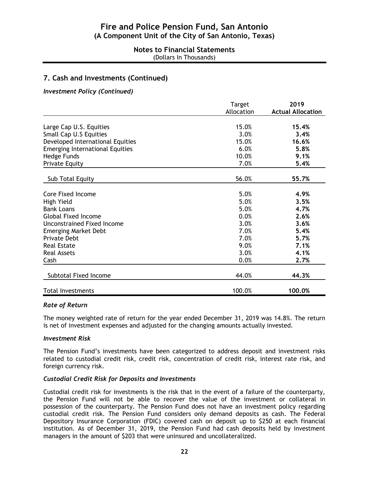#### **Notes to Financial Statements**  (Dollars In Thousands)

### **7. Cash and Investments (Continued)**

### *Investment Policy (Continued)*

|                                        | Target<br>Allocation | 2019<br><b>Actual Allocation</b> |
|----------------------------------------|----------------------|----------------------------------|
|                                        |                      |                                  |
| Large Cap U.S. Equities                | 15.0%                | 15.4%                            |
| Small Cap U.S Equities                 | 3.0%                 | 3.4%                             |
| Developed International Equities       | 15.0%                | 16.6%                            |
| <b>Emerging International Equities</b> | 6.0%                 | 5.8%                             |
| Hedge Funds                            | 10.0%                | 9.1%                             |
| <b>Private Equity</b>                  | 7.0%                 | 5.4%                             |
| Sub Total Equity                       | 56.0%                | 55.7%                            |
| Core Fixed Income                      | 5.0%                 | 4.9%                             |
| High Yield                             | 5.0%                 | 3.5%                             |
| <b>Bank Loans</b>                      | 5.0%                 | 4.7%                             |
| <b>Global Fixed Income</b>             | 0.0%                 | 2.6%                             |
| <b>Unconstrained Fixed Income</b>      | 3.0%                 | 3.6%                             |
| <b>Emerging Market Debt</b>            | 7.0%                 | 5.4%                             |
| <b>Private Debt</b>                    | 7.0%                 | 5.7%                             |
| <b>Real Estate</b>                     | 9.0%                 | 7.1%                             |
| <b>Real Assets</b>                     | 3.0%                 | 4.1%                             |
| Cash                                   | 0.0%                 | 2.7%                             |
| Subtotal Fixed Income                  | 44.0%                | 44.3%                            |
| <b>Total Investments</b>               | 100.0%               | 100.0%                           |

#### *Rate of Return*

The money weighted rate of return for the year ended December 31, 2019 was 14.8%. The return is net of investment expenses and adjusted for the changing amounts actually invested.

#### *Investment Risk*

The Pension Fund's investments have been categorized to address deposit and investment risks related to custodial credit risk, credit risk, concentration of credit risk, interest rate risk, and foreign currency risk.

### *Custodial Credit Risk for Deposits and Investments*

Custodial credit risk for investments is the risk that in the event of a failure of the counterparty, the Pension Fund will not be able to recover the value of the investment or collateral in possession of the counterparty. The Pension Fund does not have an investment policy regarding custodial credit risk. The Pension Fund considers only demand deposits as cash. The Federal Depository Insurance Corporation (FDIC) covered cash on deposit up to \$250 at each financial institution. As of December 31, 2019, the Pension Fund had cash deposits held by investment managers in the amount of \$203 that were uninsured and uncollateralized.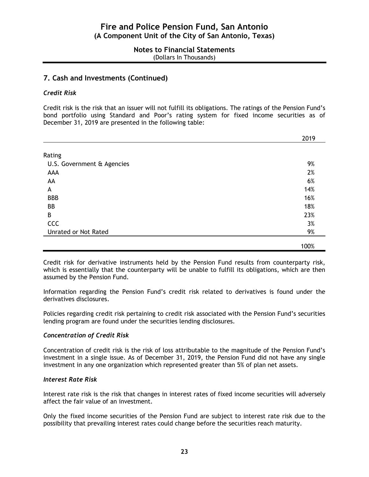#### **Notes to Financial Statements**  (Dollars In Thousands)

### **7. Cash and Investments (Continued)**

### *Credit Risk*

Credit risk is the risk that an issuer will not fulfill its obligations. The ratings of the Pension Fund's bond portfolio using Standard and Poor's rating system for fixed income securities as of December 31, 2019 are presented in the following table:

|                             | 2019 |
|-----------------------------|------|
|                             |      |
| Rating                      |      |
| U.S. Government & Agencies  | 9%   |
| AAA                         | 2%   |
| AA                          | 6%   |
| A                           | 14%  |
| <b>BBB</b>                  | 16%  |
| BB                          | 18%  |
| B                           | 23%  |
| CCC                         | 3%   |
| <b>Unrated or Not Rated</b> | 9%   |
|                             |      |
|                             | 100% |

Credit risk for derivative instruments held by the Pension Fund results from counterparty risk, which is essentially that the counterparty will be unable to fulfill its obligations, which are then assumed by the Pension Fund.

Information regarding the Pension Fund's credit risk related to derivatives is found under the derivatives disclosures.

Policies regarding credit risk pertaining to credit risk associated with the Pension Fund's securities lending program are found under the securities lending disclosures.

#### *Concentration of Credit Risk*

Concentration of credit risk is the risk of loss attributable to the magnitude of the Pension Fund's investment in a single issue. As of December 31, 2019, the Pension Fund did not have any single investment in any one organization which represented greater than 5% of plan net assets.

#### *Interest Rate Risk*

Interest rate risk is the risk that changes in interest rates of fixed income securities will adversely affect the fair value of an investment.

Only the fixed income securities of the Pension Fund are subject to interest rate risk due to the possibility that prevailing interest rates could change before the securities reach maturity.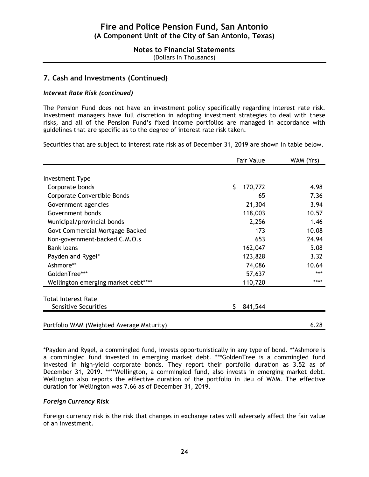#### **Notes to Financial Statements**  (Dollars In Thousands)

### **7. Cash and Investments (Continued)**

#### *Interest Rate Risk (continued)*

The Pension Fund does not have an investment policy specifically regarding interest rate risk. Investment managers have full discretion in adopting investment strategies to deal with these risks, and all of the Pension Fund's fixed income portfolios are managed in accordance with guidelines that are specific as to the degree of interest rate risk taken.

Securities that are subject to interest rate risk as of December 31, 2019 are shown in table below.

|                                           | <b>Fair Value</b> | WAM (Yrs) |
|-------------------------------------------|-------------------|-----------|
| Investment Type                           |                   |           |
| Corporate bonds                           | Ś.<br>170,772     | 4.98      |
| Corporate Convertible Bonds               | 65                | 7.36      |
| Government agencies                       | 21,304            | 3.94      |
| Government bonds                          | 118,003           | 10.57     |
| Municipal/provincial bonds                | 2,256             | 1.46      |
| Govt Commercial Mortgage Backed           | 173               | 10.08     |
| Non-government-backed C.M.O.s             | 653               | 24.94     |
| <b>Bank loans</b>                         | 162,047           | 5.08      |
| Payden and Rygel*                         | 123,828           | 3.32      |
| Ashmore**                                 | 74,086            | 10.64     |
| GoldenTree***                             | 57,637            | ***       |
| Wellington emerging market debt****       | 110,720           | ****      |
| Total Interest Rate                       |                   |           |
| <b>Sensitive Securities</b>               | 841,544<br>S.     |           |
| Portfolio WAM (Weighted Average Maturity) |                   | 6.28      |

\*Payden and Rygel, a commingled fund, invests opportunistically in any type of bond. \*\*Ashmore is a commingled fund invested in emerging market debt. \*\*\*GoldenTree is a commingled fund invested in high-yield corporate bonds. They report their portfolio duration as 3.52 as of December 31, 2019. \*\*\*\*Wellington, a commingled fund, also invests in emerging market debt. Wellington also reports the effective duration of the portfolio in lieu of WAM. The effective duration for Wellington was 7.66 as of December 31, 2019.

### *Foreign Currency Risk*

Foreign currency risk is the risk that changes in exchange rates will adversely affect the fair value of an investment.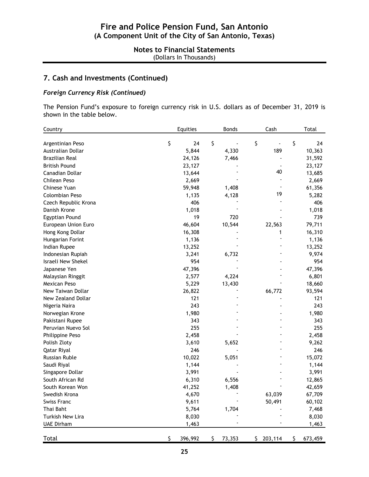### **Notes to Financial Statements**  (Dollars In Thousands)

# **7. Cash and Investments (Continued)**

### *Foreign Currency Risk (Continued)*

The Pension Fund's exposure to foreign currency risk in U.S. dollars as of December 31, 2019 is shown in the table below.

| Country               | Equities      | <b>Bonds</b> | Cash |           |    | Total   |  |
|-----------------------|---------------|--------------|------|-----------|----|---------|--|
| Argentinian Peso      | \$<br>24      | \$           | \$   |           | \$ | 24      |  |
| Australian Dollar     | 5,844         | 4,330        |      | 189       |    | 10,363  |  |
| <b>Brazilian Real</b> | 24,126        | 7,466        |      |           |    | 31,592  |  |
| <b>British Pound</b>  | 23,127        |              |      |           |    | 23,127  |  |
| Canadian Dollar       | 13,644        |              |      | 40        |    | 13,685  |  |
| Chilean Peso          | 2,669         |              |      |           |    | 2,669   |  |
| Chinese Yuan          | 59,948        | 1,408        |      |           |    | 61,356  |  |
| Colombian Peso        | 1,135         | 4,128        |      | 19        |    | 5,282   |  |
| Czech Republic Krona  | 406           |              |      |           |    | 406     |  |
| Danish Krone          | 1,018         |              |      |           |    | 1,018   |  |
| <b>Egyptian Pound</b> | 19            | 720          |      |           |    | 739     |  |
| European Union Euro   | 46,604        | 10,544       |      | 22,563    |    | 79,711  |  |
| Hong Kong Dollar      | 16,308        |              |      | 1         |    | 16,310  |  |
| Hungarian Forint      | 1,136         |              |      |           |    | 1,136   |  |
| Indian Rupee          | 13,252        |              |      |           |    | 13,252  |  |
| Indonesian Rupiah     | 3,241         | 6,732        |      |           |    | 9,974   |  |
| Israeli New Shekel    | 954           |              |      |           |    | 954     |  |
| Japanese Yen          | 47,396        |              |      |           |    | 47,396  |  |
| Malaysian Ringgit     | 2,577         | 4,224        |      |           |    | 6,801   |  |
| Mexican Peso          | 5,229         | 13,430       |      |           |    | 18,660  |  |
| New Taiwan Dollar     | 26,822        |              |      | 66,772    |    | 93,594  |  |
| New Zealand Dollar    | 121           |              |      |           |    | 121     |  |
| Nigeria Naira         | 243           |              |      |           |    | 243     |  |
| Norwegian Krone       | 1,980         |              |      |           |    | 1,980   |  |
| Pakistani Rupee       | 343           |              |      |           |    | 343     |  |
| Peruvian Nuevo Sol    | 255           |              |      |           |    | 255     |  |
| Philippine Peso       | 2,458         |              |      |           |    | 2,458   |  |
| Polish Zloty          | 3,610         | 5,652        |      |           |    | 9,262   |  |
| Qatar Riyal           | 246           |              |      |           |    | 246     |  |
| Russian Ruble         | 10,022        | 5,051        |      |           |    | 15,072  |  |
| Saudi Riyal           | 1,144         |              |      |           |    | 1,144   |  |
| Singapore Dollar      | 3,991         |              |      |           |    | 3,991   |  |
| South African Rd      | 6,310         | 6,556        |      |           |    | 12,865  |  |
| South Korean Won      | 41,252        | 1,408        |      |           |    | 42,659  |  |
| Swedish Krona         | 4,670         |              |      | 63,039    |    | 67,709  |  |
| Swiss Franc           | 9,611         |              |      | 50,491    |    | 60,102  |  |
| Thai Baht             | 5,764         | 1,704        |      |           |    | 7,468   |  |
| Turkish New Lira      | 8,030         |              |      |           |    | 8,030   |  |
| <b>UAE Dirham</b>     | 1,463         |              |      |           |    | 1,463   |  |
| Total                 | \$<br>396,992 | \$<br>73,353 |      | \$203,114 | Ş. | 673,459 |  |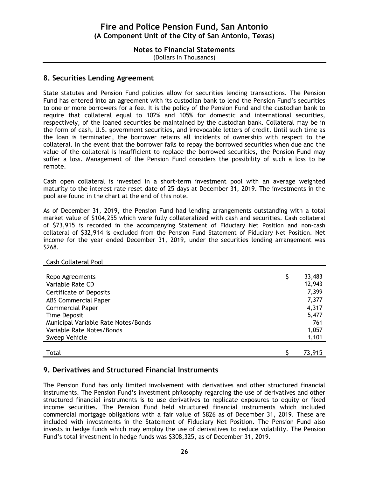### **Notes to Financial Statements**  (Dollars In Thousands)

### **8. Securities Lending Agreement**

State statutes and Pension Fund policies allow for securities lending transactions. The Pension Fund has entered into an agreement with its custodian bank to lend the Pension Fund's securities to one or more borrowers for a fee. It is the policy of the Pension Fund and the custodian bank to require that collateral equal to 102% and 105% for domestic and international securities, respectively, of the loaned securities be maintained by the custodian bank. Collateral may be in the form of cash, U.S. government securities, and irrevocable letters of credit. Until such time as the loan is terminated, the borrower retains all incidents of ownership with respect to the collateral. In the event that the borrower fails to repay the borrowed securities when due and the value of the collateral is insufficient to replace the borrowed securities, the Pension Fund may suffer a loss. Management of the Pension Fund considers the possibility of such a loss to be remote.

Cash open collateral is invested in a short-term investment pool with an average weighted maturity to the interest rate reset date of 25 days at December 31, 2019. The investments in the pool are found in the chart at the end of this note.

As of December 31, 2019, the Pension Fund had lending arrangements outstanding with a total market value of \$104,255 which were fully collateralized with cash and securities. Cash collateral of \$73,915 is recorded in the accompanying Statement of Fiduciary Net Position and non-cash collateral of \$32,914 is excluded from the Pension Fund Statement of Fiduciary Net Position. Net income for the year ended December 31, 2019, under the securities lending arrangement was \$268.

#### Cash Collateral Pool

| Repo Agreements                     | \$<br>33,483 |
|-------------------------------------|--------------|
| Variable Rate CD                    | 12,943       |
| <b>Certificate of Deposits</b>      | 7,399        |
| <b>ABS Commercial Paper</b>         | 7,377        |
| <b>Commercial Paper</b>             | 4,317        |
| <b>Time Deposit</b>                 | 5,477        |
| Municipal Variable Rate Notes/Bonds | 761          |
| Variable Rate Notes/Bonds           | 1,057        |
| Sweep Vehicle                       | 1,101        |
|                                     |              |
| Total                               | 73,915       |

### **9. Derivatives and Structured Financial Instruments**

The Pension Fund has only limited involvement with derivatives and other structured financial instruments. The Pension Fund's investment philosophy regarding the use of derivatives and other structured financial instruments is to use derivatives to replicate exposures to equity or fixed income securities. The Pension Fund held structured financial instruments which included commercial mortgage obligations with a fair value of \$826 as of December 31, 2019. These are included with investments in the Statement of Fiduciary Net Position. The Pension Fund also invests in hedge funds which may employ the use of derivatives to reduce volatility. The Pension Fund's total investment in hedge funds was \$308,325, as of December 31, 2019.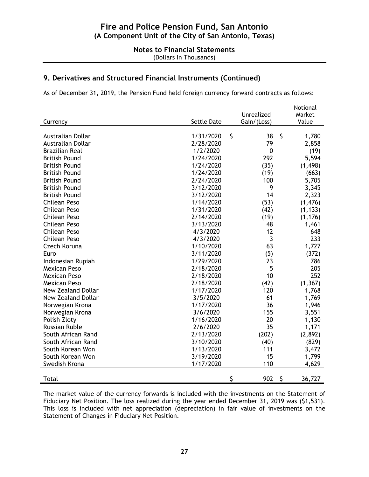### **Notes to Financial Statements**  (Dollars In Thousands)

### **9. Derivatives and Structured Financial Instruments (Continued)**

As of December 31, 2019, the Pension Fund held foreign currency forward contracts as follows:

|                           |                    |             | Notional     |
|---------------------------|--------------------|-------------|--------------|
|                           |                    | Unrealized  | Market       |
| Currency                  | <b>Settle Date</b> | Gain/(Loss) | Value        |
| Australian Dollar         | 1/31/2020          | \$<br>38    | \$<br>1,780  |
| Australian Dollar         | 2/28/2020          | 79          | 2,858        |
| <b>Brazilian Real</b>     | 1/2/2020           | 0           | (19)         |
| <b>British Pound</b>      | 1/24/2020          | 292         | 5,594        |
| <b>British Pound</b>      | 1/24/2020          | (35)        | (1, 498)     |
| <b>British Pound</b>      | 1/24/2020          | (19)        | (663)        |
| <b>British Pound</b>      | 2/24/2020          | 100         | 5,705        |
| <b>British Pound</b>      | 3/12/2020          | 9           | 3,345        |
| <b>British Pound</b>      | 3/12/2020          | 14          | 2,323        |
| Chilean Peso              | 1/14/2020          | (53)        | (1,476)      |
| Chilean Peso              | 1/31/2020          | (42)        | (1, 133)     |
| Chilean Peso              | 2/14/2020          | (19)        | (1, 176)     |
| <b>Chilean Peso</b>       | 3/13/2020          | 48          | 1,461        |
| <b>Chilean Peso</b>       | 4/3/2020           | 12          | 648          |
| <b>Chilean Peso</b>       | 4/3/2020           | 3           | 233          |
| Czech Koruna              | 1/10/2020          | 63          | 1,727        |
| Euro                      | 3/11/2020          | (5)         | (372)        |
| Indonesian Rupiah         | 1/29/2020          | 23          | 786          |
| <b>Mexican Peso</b>       | 2/18/2020          | 5           | 205          |
| Mexican Peso              | 2/18/2020          | 10          | 252          |
| <b>Mexican Peso</b>       | 2/18/2020          | (42)        | (1, 367)     |
| <b>New Zealand Dollar</b> | 1/17/2020          | 120         | 1,768        |
| <b>New Zealand Dollar</b> | 3/5/2020           | 61          | 1,769        |
| Norwegian Krona           | 1/17/2020          | 36          | 1,946        |
| Norwegian Krona           | 3/6/2020           | 155         | 3,551        |
| Polish Zloty              | 1/16/2020          | 20          | 1,130        |
| <b>Russian Ruble</b>      | 2/6/2020           | 35          | 1,171        |
| South African Rand        | 2/13/2020          | (202)       | (2,892)      |
| South African Rand        | 3/10/2020          | (40)        | (829)        |
| South Korean Won          | 1/13/2020          | 111         | 3,472        |
| South Korean Won          | 3/19/2020          | 15          | 1,799        |
| Swedish Krona             | 1/17/2020          | 110         | 4,629        |
| Total                     |                    | \$<br>902   | \$<br>36,727 |

The market value of the currency forwards is included with the investments on the Statement of Fiduciary Net Position. The loss realized during the year ended December 31, 2019 was (\$1,531). This loss is included with net appreciation (depreciation) in fair value of investments on the Statement of Changes in Fiduciary Net Position.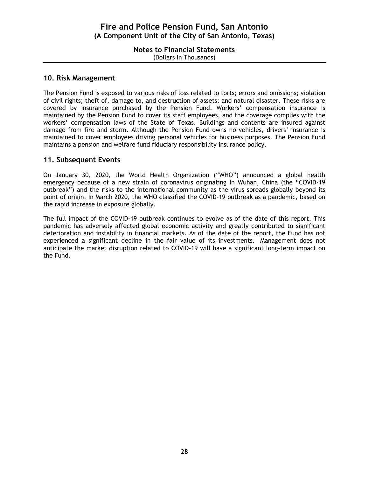### **Notes to Financial Statements**  (Dollars In Thousands)

### **10. Risk Management**

The Pension Fund is exposed to various risks of loss related to torts; errors and omissions; violation of civil rights; theft of, damage to, and destruction of assets; and natural disaster. These risks are covered by insurance purchased by the Pension Fund. Workers' compensation insurance is maintained by the Pension Fund to cover its staff employees, and the coverage complies with the workers' compensation laws of the State of Texas. Buildings and contents are insured against damage from fire and storm. Although the Pension Fund owns no vehicles, drivers' insurance is maintained to cover employees driving personal vehicles for business purposes. The Pension Fund maintains a pension and welfare fund fiduciary responsibility insurance policy.

### **11. Subsequent Events**

On January 30, 2020, the World Health Organization ("WHO") announced a global health emergency because of a new strain of coronavirus originating in Wuhan, China (the "COVID-19 outbreak") and the risks to the international community as the virus spreads globally beyond its point of origin. In March 2020, the WHO classified the COVID-19 outbreak as a pandemic, based on the rapid increase in exposure globally.

The full impact of the COVID-19 outbreak continues to evolve as of the date of this report. This pandemic has adversely affected global economic activity and greatly contributed to significant deterioration and instability in financial markets. As of the date of the report, the Fund has not experienced a significant decline in the fair value of its investments. Management does not anticipate the market disruption related to COVID-19 will have a significant long-term impact on the Fund.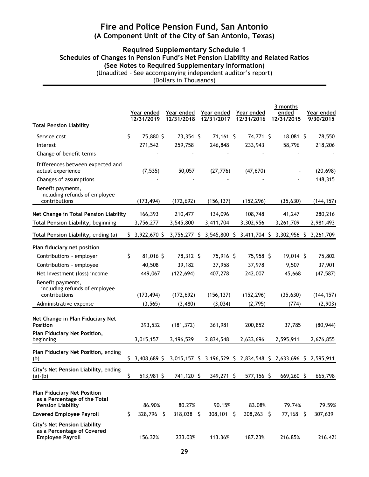### **Required Supplementary Schedule 1 Schedules of Changes in Pension Fund's Net Pension Liability and Related Ratios (See Notes to Required Supplementary Information)**  (Unaudited – See accompanying independent auditor's report) (Dollars in Thousands)

|                                                                                                  |     |                      |                         |                                                               |                      | 3 months            |                        |
|--------------------------------------------------------------------------------------------------|-----|----------------------|-------------------------|---------------------------------------------------------------|----------------------|---------------------|------------------------|
|                                                                                                  |     | Year ended           | Year ended              | Year ended                                                    | Year ended           | ended               | Year ended             |
| <b>Total Pension Liability</b>                                                                   |     | 12/31/2019           | 12/31/2018              | 12/31/2017                                                    | 12/31/2016           | 12/31/2015          | 9/30/2015              |
|                                                                                                  |     |                      |                         |                                                               |                      |                     |                        |
| Service cost                                                                                     | \$  | 75,880 \$            | 73,354 \$               | $71,161$ \$                                                   | 74,771 \$            | 18,081 \$           | 78,550                 |
| Interest                                                                                         |     | 271,542              | 259,758                 | 246,848                                                       | 233,943              | 58,796              | 218,206                |
| Change of benefit terms                                                                          |     |                      |                         |                                                               |                      |                     |                        |
| Differences between expected and<br>actual experience                                            |     | (7, 535)             | 50,057                  | (27, 776)                                                     | (47, 670)            |                     | (20, 698)              |
| Changes of assumptions                                                                           |     |                      |                         |                                                               |                      |                     | 148,315                |
| Benefit payments,<br>including refunds of employee<br>contributions                              |     | (173, 494)           | (172, 692)              | (156, 137)                                                    | (152, 296)           | (35, 630)           | (144, 157)             |
| Net Change in Total Pension Liability                                                            |     | 166,393              | 210,477                 | 134,096                                                       | 108,748              | 41,247              | 280,216                |
| <b>Total Pension Liability, beginning</b>                                                        |     | 3,756,277            | 3,545,800               | 3,411,704                                                     | 3,302,956            | 3,261,709           | 2,981,493              |
| Total Pension Liability, ending (a)                                                              |     | \$3,922,670          |                         | 3,756,277 \$ 3,545,800 \$ 3,411,704 \$ 3,302,956 \$ 3,261,709 |                      |                     |                        |
| Plan fiduciary net position                                                                      |     |                      |                         |                                                               |                      |                     |                        |
| Contributions - employer                                                                         | \$  | 81,016 \$            | 78,312 \$               | 75,916 \$                                                     | 75,958 \$            | 19,014 \$           | 75,802                 |
| Contributions - employee                                                                         |     | 40,508               | 39,182                  | 37,958                                                        | 37,978               | 9,507               | 37,901                 |
| Net investment (loss) income                                                                     |     | 449,067              | (122, 694)              | 407,278                                                       | 242,007              | 45,668              | (47, 587)              |
| Benefit payments,<br>including refunds of employee<br>contributions                              |     | (173, 494)           | (172, 692)              | (156, 137)                                                    | (152, 296)           | (35, 630)           | (144, 157)             |
| Administrative expense                                                                           |     | (3, 565)             | (3,480)                 | (3,034)                                                       | (2,795)              | (774)               | (2,903)                |
| Net Change in Plan Fiduciary Net<br><b>Position</b><br>Plan Fiduciary Net Position,<br>beginning |     | 393,532<br>3,015,157 | (181, 372)<br>3,196,529 | 361,981<br>2,834,548                                          | 200,852<br>2,633,696 | 37,785<br>2,595,911 | (80, 944)<br>2,676,855 |
| Plan Fiduciary Net Position, ending<br>(b)                                                       |     | $$3,408,689$ \$      |                         | 3,015,157 \$ 3,196,529 \$ 2,834,548 \$ 2,633,696 \$ 2,595,911 |                      |                     |                        |
| City's Net Pension Liability, ending<br>(a)-(b)                                                  |     | 513,981 \$           | 741,120 \$              | 349,271 \$                                                    | 577,156 \$           | 669,260 \$          | 665,798                |
| <b>Plan Fiduciary Net Position</b><br>as a Percentage of the Total<br><b>Pension Liability</b>   |     | 86.90%               | 80.27%                  | 90.15%                                                        | 83.08%               | 79.74%              | 79.59%                 |
| <b>Covered Employee Payroll</b>                                                                  | \$. | 328,796 \$           | 318,038 \$              | 308,101 \$                                                    | 308,263 \$           | $77,168$ \$         | 307,639                |
| <b>City's Net Pension Liability</b><br>as a Percentage of Covered<br><b>Employee Payroll</b>     |     | 156.32%              | 233.03%                 | 113.36%                                                       | 187.23%              | 216.85%             | 216.429                |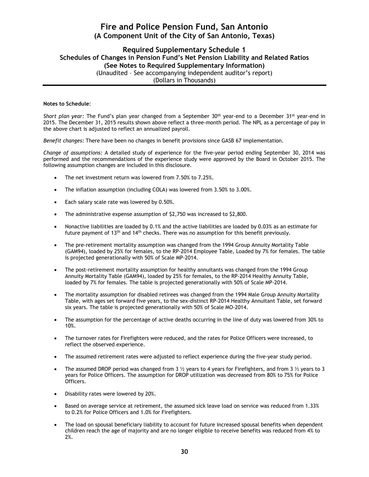### **Required Supplementary Schedule 1 Schedules of Changes in Pension Fund's Net Pension Liability and Related Ratios (See Notes to Required Supplementary Information)**  (Unaudited – See accompanying independent auditor's report) (Dollars in Thousands)

#### **Notes to Schedule**:

*Short plan year:* The Fund's plan year changed from a September 30th year-end to a December 31st year-end in 2015. The December 31, 2015 results shown above reflect a three-month period. The NPL as a percentage of pay in the above chart is adjusted to reflect an annualized payroll.

*Benefit changes:* There have been no changes in benefit provisions since GASB 67 implementation.

*Change of assumptions:* A detailed study of experience for the five-year period ending September 30, 2014 was performed and the recommendations of the experience study were approved by the Board in October 2015. The following assumption changes are included in this disclosure.

- The net investment return was lowered from 7.50% to 7.25%.
- The inflation assumption (including COLA) was lowered from 3.50% to 3.00%.
- Each salary scale rate was lowered by 0.50%.
- The administrative expense assumption of \$2,750 was increased to \$2,800.
- Nonactive liabilities are loaded by 0.1% and the active liabilities are loaded by 0.03% as an estimate for future payment of  $13<sup>th</sup>$  and  $14<sup>th</sup>$  checks. There was no assumption for this benefit previously.
- The pre-retirement mortality assumption was changed from the 1994 Group Annuity Mortality Table (GAM94), loaded by 25% for females, to the RP-2014 Employee Table, Loaded by 7% for females. The table is projected generationally with 50% of Scale MP-2014.
- The post-retirement mortality assumption for healthy annuitants was changed from the 1994 Group Annuity Mortality Table (GAM94), loaded by 25% for females, to the RP-2014 Healthy Annuity Table, loaded by 7% for females. The table is projected generationally with 50% of Scale MP-2014.
- The mortality assumption for disabled retirees was changed from the 1994 Male Group Annuity Mortality Table, with ages set forward five years, to the sex-distinct RP-2014 Healthy Annuitant Table, set forward six years. The table is projected generationally with 50% of Scale MO-2014.
- The assumption for the percentage of active deaths occurring in the line of duty was lowered from 30% to 10%.
- The turnover rates for Firefighters were reduced, and the rates for Police Officers were increased, to reflect the observed experience.
- The assumed retirement rates were adjusted to reflect experience during the five-year study period.
- The assumed DROP period was changed from 3  $\frac{1}{2}$  years to 4 years for Firefighters, and from 3  $\frac{1}{2}$  years to 3 years for Police Officers. The assumption for DROP utilization was decreased from 80% to 75% for Police Officers.
- Disability rates were lowered by 20%.
- Based on average service at retirement, the assumed sick leave load on service was reduced from 1.33% to 0.2% for Police Officers and 1.0% for Firefighters.
- The load on spousal beneficiary liability to account for future increased spousal benefits when dependent children reach the age of majority and are no longer eligible to receive benefits was reduced from 4% to 2%.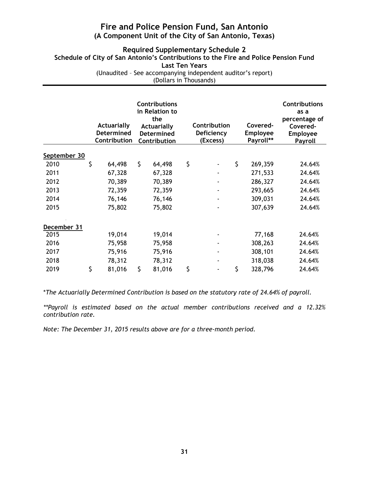### **Required Supplementary Schedule 2 Schedule of City of San Antonio's Contributions to the Fire and Police Pension Fund Last Ten Years**  (Unaudited – See accompanying independent auditor's report)

(Dollars in Thousands)

|              | <b>Actuarially</b><br><b>Determined</b><br>Contribution | <b>Contributions</b><br>in Relation to<br>the<br><b>Actuarially</b><br><b>Determined</b><br>Contribution | Contribution<br>Deficiency<br>(Excess) | Covered-<br><b>Employee</b><br>Payroll** | <b>Contributions</b><br>as a<br>percentage of<br>Covered-<br><b>Employee</b><br><b>Payroll</b> |
|--------------|---------------------------------------------------------|----------------------------------------------------------------------------------------------------------|----------------------------------------|------------------------------------------|------------------------------------------------------------------------------------------------|
| September 30 |                                                         |                                                                                                          |                                        |                                          |                                                                                                |
| 2010         | \$<br>64,498                                            | \$<br>64,498                                                                                             | \$                                     | \$<br>269,359                            | 24.64%                                                                                         |
| 2011         | 67,328                                                  | 67,328                                                                                                   |                                        | 271,533                                  | 24.64%                                                                                         |
| 2012         | 70,389                                                  | 70,389                                                                                                   |                                        | 286,327                                  | 24.64%                                                                                         |
| 2013         | 72,359                                                  | 72,359                                                                                                   |                                        | 293,665                                  | 24.64%                                                                                         |
| 2014         | 76,146                                                  | 76,146                                                                                                   |                                        | 309,031                                  | 24.64%                                                                                         |
| 2015         | 75,802                                                  | 75,802                                                                                                   |                                        | 307,639                                  | 24.64%                                                                                         |
| December 31  |                                                         |                                                                                                          |                                        |                                          |                                                                                                |
| 2015         | 19,014                                                  | 19,014                                                                                                   |                                        | 77,168                                   | 24.64%                                                                                         |
| 2016         | 75,958                                                  | 75,958                                                                                                   |                                        | 308,263                                  | 24.64%                                                                                         |
| 2017         | 75,916                                                  | 75,916                                                                                                   |                                        | 308,101                                  | 24.64%                                                                                         |
| 2018         | 78,312                                                  | 78,312                                                                                                   |                                        | 318,038                                  | 24.64%                                                                                         |
| 2019         | \$<br>81,016                                            | \$<br>81,016                                                                                             | \$                                     | \$<br>328,796                            | 24.64%                                                                                         |

\**The Actuarially Determined Contribution is based on the statutory rate of 24.64% of payroll.* 

*\*\*Payroll is estimated based on the actual member contributions received and a 12.32% contribution rate.* 

*Note: The December 31, 2015 results above are for a three-month period.*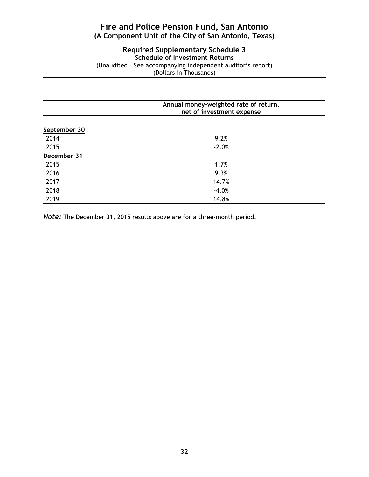### **Required Supplementary Schedule 3 Schedule of Investment Returns**  (Unaudited – See accompanying independent auditor's report) (Dollars in Thousands)

|              | Annual money-weighted rate of return, |  |
|--------------|---------------------------------------|--|
|              | net of investment expense             |  |
| September 30 |                                       |  |
| 2014         | 9.2%                                  |  |
| 2015         | $-2.0%$                               |  |
| December 31  |                                       |  |
| 2015         | 1.7%                                  |  |
| 2016         | 9.3%                                  |  |
| 2017         | 14.7%                                 |  |
| 2018         | $-4.0%$                               |  |
| 2019         | 14.8%                                 |  |

*Note:* The December 31, 2015 results above are for a three-month period.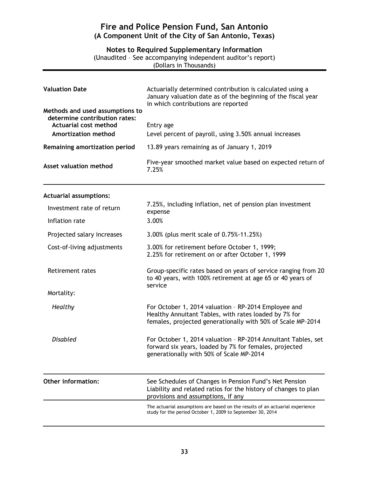**Notes to Required Supplementary Information**  (Unaudited – See accompanying independent auditor's report) (Dollars in Thousands)

| <b>Valuation Date</b>                                                                                                          | Actuarially determined contribution is calculated using a<br>January valuation date as of the beginning of the fiscal year<br>in which contributions are reported            |  |  |  |  |  |
|--------------------------------------------------------------------------------------------------------------------------------|------------------------------------------------------------------------------------------------------------------------------------------------------------------------------|--|--|--|--|--|
| Methods and used assumptions to<br>determine contribution rates:<br><b>Actuarial cost method</b><br><b>Amortization method</b> | Entry age<br>Level percent of payroll, using 3.50% annual increases                                                                                                          |  |  |  |  |  |
| Remaining amortization period                                                                                                  | 13.89 years remaining as of January 1, 2019                                                                                                                                  |  |  |  |  |  |
| <b>Asset valuation method</b>                                                                                                  | Five-year smoothed market value based on expected return of<br>7.25%                                                                                                         |  |  |  |  |  |
| <b>Actuarial assumptions:</b>                                                                                                  |                                                                                                                                                                              |  |  |  |  |  |
| Investment rate of return                                                                                                      | 7.25%, including inflation, net of pension plan investment<br>expense<br>3.00%                                                                                               |  |  |  |  |  |
| Inflation rate                                                                                                                 |                                                                                                                                                                              |  |  |  |  |  |
| Projected salary increases                                                                                                     | 3.00% (plus merit scale of 0.75%-11.25%)                                                                                                                                     |  |  |  |  |  |
| Cost-of-living adjustments                                                                                                     | 3.00% for retirement before October 1, 1999;<br>2.25% for retirement on or after October 1, 1999                                                                             |  |  |  |  |  |
| <b>Retirement rates</b>                                                                                                        | Group-specific rates based on years of service ranging from 20<br>to 40 years, with 100% retirement at age 65 or 40 years of<br>service                                      |  |  |  |  |  |
| Mortality:                                                                                                                     |                                                                                                                                                                              |  |  |  |  |  |
| Healthy                                                                                                                        | For October 1, 2014 valuation - RP-2014 Employee and<br>Healthy Annuitant Tables, with rates loaded by 7% for<br>females, projected generationally with 50% of Scale MP-2014 |  |  |  |  |  |
| <b>Disabled</b>                                                                                                                | For October 1, 2014 valuation - RP-2014 Annuitant Tables, set<br>forward six years, loaded by 7% for females, projected<br>generationally with 50% of Scale MP-2014          |  |  |  |  |  |
| <b>Other information:</b>                                                                                                      | See Schedules of Changes in Pension Fund's Net Pension<br>Liability and related ratios for the history of changes to plan<br>provisions and assumptions, if any              |  |  |  |  |  |
|                                                                                                                                | The actuarial assumptions are based on the results of an actuarial experience<br>study for the period October 1, 2009 to September 30, 2014                                  |  |  |  |  |  |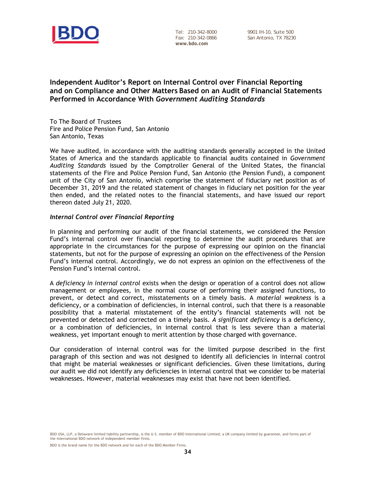

Tel: 210-342-8000 Fax: 210-342-0866 **www.bdo.com** 

### **Performed in Accordance With** *Government Auditing Standards* **Independent Auditor's Report on Internal Control over Financial Reporting and on Compliance and Other Matters Based on an Audit of Financial Statements**

To The Board of Trustees Fire and Police Pension Fund, San Antonio San Antonio, Texas

We have audited, in accordance with the auditing standards generally accepted in the United States of America and the standards applicable to financial audits contained in *Government Auditing Standards* issued by the Comptroller General of the United States, the financial statements of the Fire and Police Pension Fund, San Antonio (the Pension Fund), a component unit of the City of San Antonio, which comprise the statement of fiduciary net position as of December 31, 2019 and the related statement of changes in fiduciary net position for the year then ended, and the related notes to the financial statements, and have issued our report thereon dated July 21, 2020.

### *Internal Control over Financial Reporting*

In planning and performing our audit of the financial statements, we considered the Pension Fund's internal control over financial reporting to determine the audit procedures that are appropriate in the circumstances for the purpose of expressing our opinion on the financial statements, but not for the purpose of expressing an opinion on the effectiveness of the Pension Fund's internal control. Accordingly, we do not express an opinion on the effectiveness of the Pension Fund's internal control.

A *deficiency in internal control* exists when the design or operation of a control does not allow management or employees, in the normal course of performing their assigned functions, to prevent, or detect and correct, misstatements on a timely basis. A *material weakness* is a deficiency, or a combination of deficiencies, in internal control, such that there is a reasonable possibility that a material misstatement of the entity's financial statements will not be prevented or detected and corrected on a timely basis*. A significant deficiency* is a deficiency, or a combination of deficiencies, in internal control that is less severe than a material weakness, yet important enough to merit attention by those charged with governance.

Our consideration of internal control was for the limited purpose described in the first paragraph of this section and was not designed to identify all deficiencies in internal control that might be material weaknesses or significant deficiencies. Given these limitations, during our audit we did not identify any deficiencies in internal control that we consider to be material weaknesses. However, material weaknesses may exist that have not been identified.

BDO USA, LLP, a Delaware limited liability partnership, is the U.S. member of BDO International Limited, a UK company limited by guarantee, and forms part of the international BDO network of independent member firms.